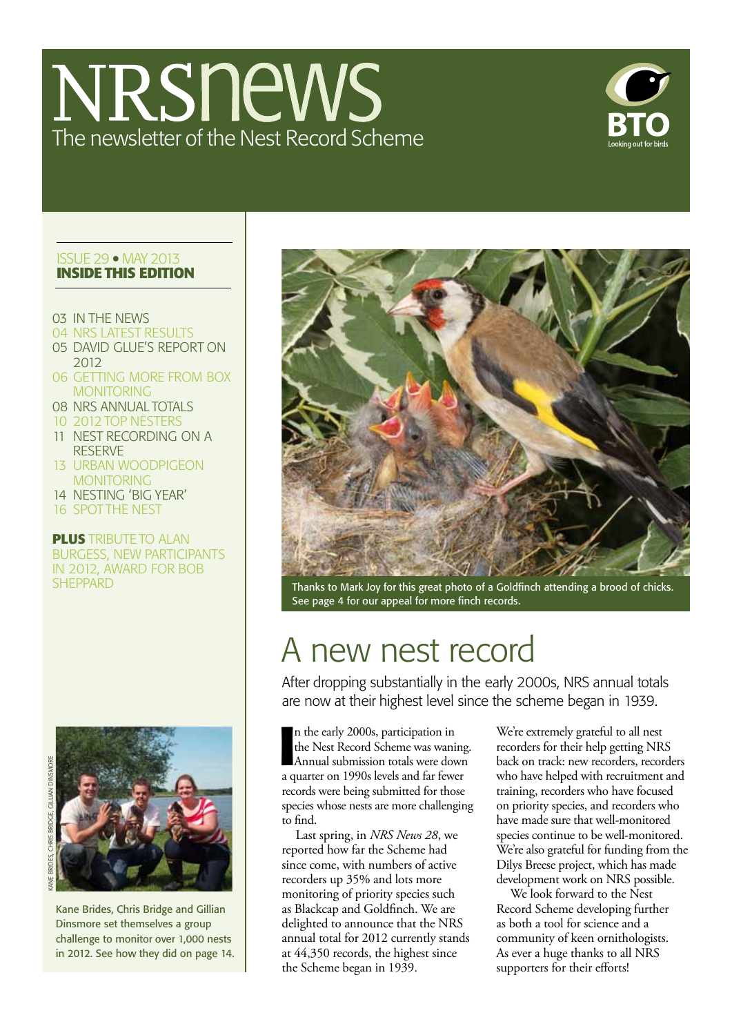# NRSnews The newsletter of the Nest Record Scheme



## **ISSUE 29 · MAY 2013 Inside this edition**

- 03 in the news
- 04 NRS LATEST RESULTS
- 05 DAVID Glue's report on 2012
- 06 getting more from box **MONITORING**
- 08 NRS Annual totals
- 10 2012 TOp nesters
- 11 nest recording on a reserve
- 13 URBAN WOODPIGEON **MONITORING**
- 14 nesting 'big year'
- 16 SPOT THE NEST

**plus** TRIBUTE to alan burgess, new participants in 2012, award for bob





Kane Brides, Chris Bridge and Gillian Dinsmore set themselves a group challenge to monitor over 1,000 nests in 2012. See how they did on page 14.



sheppard Thanks to Mark Joy for this great photo of a Goldfinch attending a brood of chicks. See page 4 for our appeal for more finch records.

## A new nest record

After dropping substantially in the early 2000s, NRS annual totals are now at their highest level since the scheme began in 1939.

**I** n the early 2000s, participation in the Nest Record Scheme was waning. Annual submission totals were down a quarter on 1990s levels and far fewer records were being submitted for those species whose nests are more challenging to find.

Last spring, in *NRS News 28*, we reported how far the Scheme had since come, with numbers of active recorders up 35% and lots more monitoring of priority species such as Blackcap and Goldfinch. We are delighted to announce that the NRS annual total for 2012 currently stands at 44,350 records, the highest since the Scheme began in 1939.

We're extremely grateful to all nest recorders for their help getting NRS back on track: new recorders, recorders who have helped with recruitment and training, recorders who have focused on priority species, and recorders who have made sure that well-monitored species continue to be well-monitored. We're also grateful for funding from the Dilys Breese project, which has made development work on NRS possible.

We look forward to the Nest Record Scheme developing further as both a tool for science and a community of keen ornithologists. As ever a huge thanks to all NRS supporters for their efforts!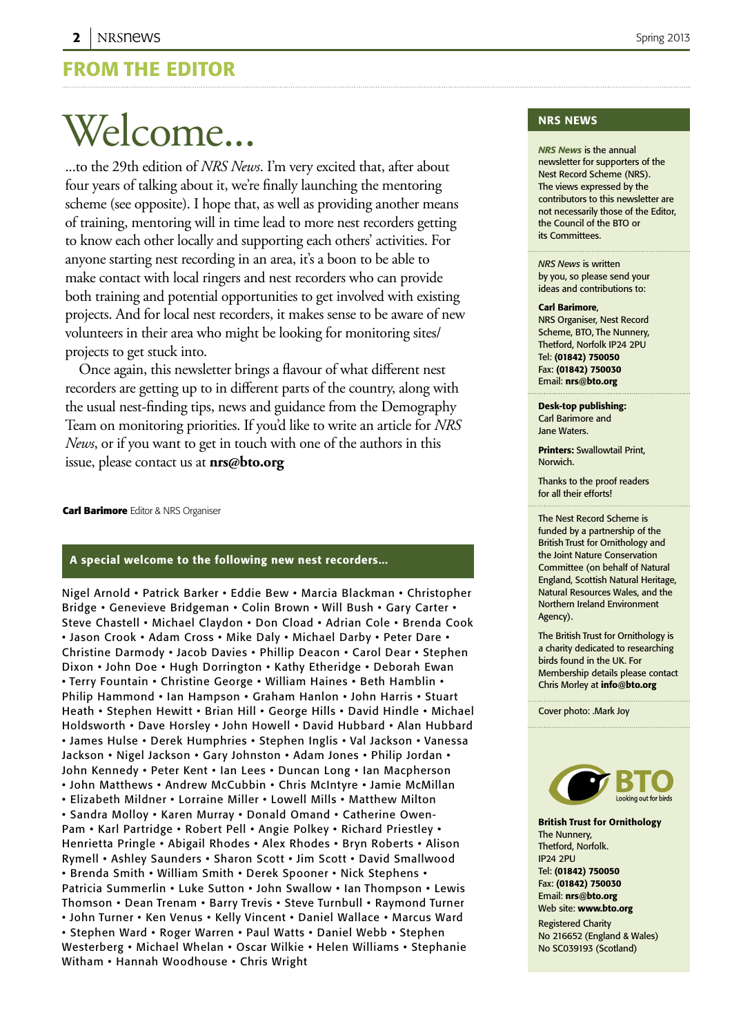## From the editor

# Welcome...

...to the 29th edition of *NRS News*. I'm very excited that, after about four years of talking about it, we're finally launching the mentoring scheme (see opposite). I hope that, as well as providing another means of training, mentoring will in time lead to more nest recorders getting to know each other locally and supporting each others' activities. For anyone starting nest recording in an area, it's a boon to be able to make contact with local ringers and nest recorders who can provide both training and potential opportunities to get involved with existing projects. And for local nest recorders, it makes sense to be aware of new volunteers in their area who might be looking for monitoring sites/ projects to get stuck into.

Once again, this newsletter brings a flavour of what different nest recorders are getting up to in different parts of the country, along with the usual nest-finding tips, news and guidance from the Demography Team on monitoring priorities. If you'd like to write an article for *NRS News*, or if you want to get in touch with one of the authors in this issue, please contact us at **nrs@bto.org**

**Carl Barimore** Editor & NRS Organiser

## A special welcome to the following new nest recorders...

Nigel Arnold • Patrick Barker • Eddie Bew • Marcia Blackman • Christopher Bridge • Genevieve Bridgeman • Colin Brown • Will Bush • Gary Carter • Steve Chastell • Michael Claydon • Don Cload • Adrian Cole • Brenda Cook • Jason Crook • Adam Cross • Mike Daly • Michael Darby • Peter Dare • Christine Darmody • Jacob Davies • Phillip Deacon • Carol Dear • Stephen Dixon • John Doe • Hugh Dorrington • Kathy Etheridge • Deborah Ewan • Terry Fountain • Christine George • William Haines • Beth Hamblin • Philip Hammond • Ian Hampson • Graham Hanlon • John Harris • Stuart Heath • Stephen Hewitt • Brian Hill • George Hills • David Hindle • Michael Holdsworth • Dave Horsley • John Howell • David Hubbard • Alan Hubbard • James Hulse • Derek Humphries • Stephen Inglis • Val Jackson • Vanessa Jackson • Nigel Jackson • Gary Johnston • Adam Jones • Philip Jordan • John Kennedy • Peter Kent • Ian Lees • Duncan Long • Ian Macpherson • John Matthews • Andrew McCubbin • Chris McIntyre • Jamie McMillan • Elizabeth Mildner • Lorraine Miller • Lowell Mills • Matthew Milton • Sandra Molloy • Karen Murray • Donald Omand • Catherine Owen-Pam • Karl Partridge • Robert Pell • Angie Polkey • Richard Priestley • Henrietta Pringle • Abigail Rhodes • Alex Rhodes • Bryn Roberts • Alison Rymell • Ashley Saunders • Sharon Scott • Jim Scott • David Smallwood • Brenda Smith • William Smith • Derek Spooner • Nick Stephens • Patricia Summerlin • Luke Sutton • John Swallow • Ian Thompson • Lewis Thomson • Dean Trenam • Barry Trevis • Steve Turnbull • Raymond Turner • John Turner • Ken Venus • Kelly Vincent • Daniel Wallace • Marcus Ward • Stephen Ward • Roger Warren • Paul Watts • Daniel Webb • Stephen Westerberg • Michael Whelan • Oscar Wilkie • Helen Williams • Stephanie Witham • Hannah Woodhouse • Chris Wright

## nrs News

*NRS News* is the annual newsletter for supporters of the Nest Record Scheme (NRS). The views expressed by the contributors to this newsletter are not necessarily those of the Editor, the Council of the BTO or its Committees.

*NRS News* is written by you, so please send your ideas and contributions to:

#### Carl Barimore,

NRS Organiser, Nest Record Scheme, BTO, The Nunnery, Thetford, Norfolk IP24 2PU Tel: (01842) 750050 Fax: (01842) 750030 Email: nrs@bto.org

Desk-top publishing: Carl Barimore and Jane Waters.

Printers: Swallowtail Print, Norwich.

Thanks to the proof readers for all their efforts!

The Nest Record Scheme is funded by a partnership of the British Trust for Ornithology and the Joint Nature Conservation Committee (on behalf of Natural England, Scottish Natural Heritage, Natural Resources Wales, and the Northern Ireland Environment Agency).

The British Trust for Ornithology is a charity dedicated to researching birds found in the UK. For Membership details please contact Chris Morley at info@bto.org

Cover photo: .Mark Joy



British Trust for Ornithology The Nunnery, Thetford, Norfolk. IP24 2PU Tel: (01842) 750050 Fax: (01842) 750030 Email: nrs@bto.org Web site: www.bto.org Registered Charity

No 216652 (England & Wales) No SC039193 (Scotland)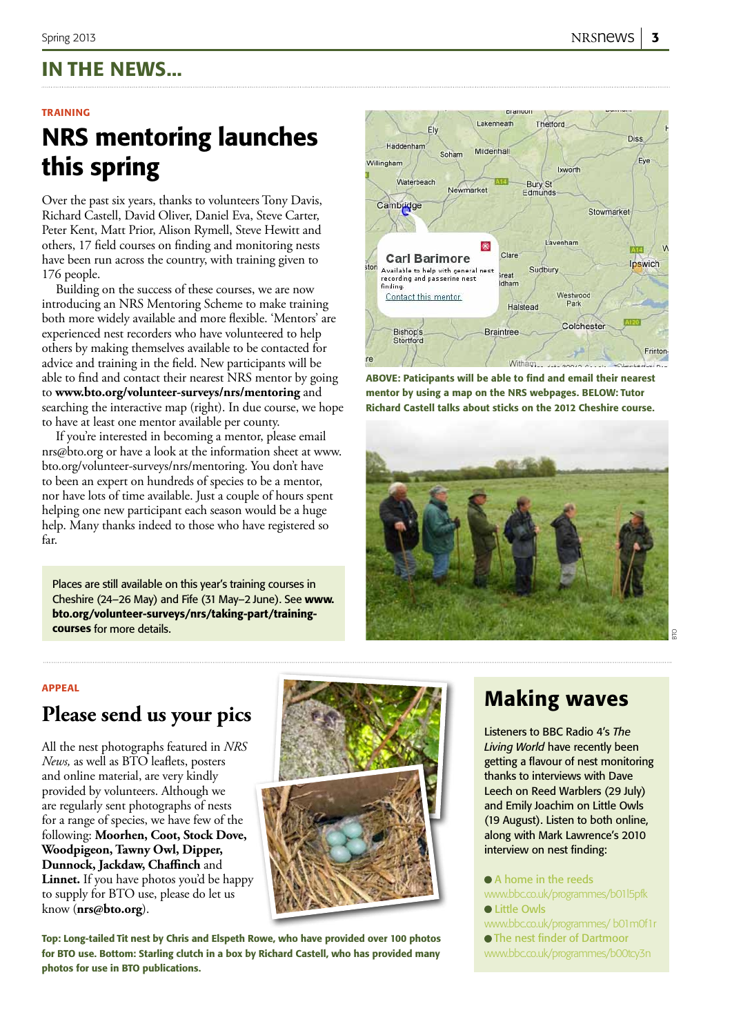## In the news...

## **TRAINING**

## NRS mentoring launches this spring

Over the past six years, thanks to volunteers Tony Davis, Richard Castell, David Oliver, Daniel Eva, Steve Carter, Peter Kent, Matt Prior, Alison Rymell, Steve Hewitt and others, 17 field courses on finding and monitoring nests have been run across the country, with training given to 176 people.

Building on the success of these courses, we are now introducing an NRS Mentoring Scheme to make training both more widely available and more flexible. 'Mentors' are experienced nest recorders who have volunteered to help others by making themselves available to be contacted for advice and training in the field. New participants will be able to find and contact their nearest NRS mentor by going to **www.bto.org/volunteer-surveys/nrs/mentoring** and searching the interactive map (right). In due course, we hope to have at least one mentor available per county.

If you're interested in becoming a mentor, please email nrs@bto.org or have a look at the information sheet at www. bto.org/volunteer-surveys/nrs/mentoring. You don't have to been an expert on hundreds of species to be a mentor, nor have lots of time available. Just a couple of hours spent helping one new participant each season would be a huge help. Many thanks indeed to those who have registered so far.

Places are still available on this year's training courses in Cheshire (24–26 May) and Fife (31 May–2 June). See www. bto.org/volunteer-surveys/nrs/taking-part/trainingcourses for more details.



ABOVE: Paticipants will be able to find and email their nearest mentor by using a map on the NRS webpages. BELOW: Tutor Richard Castell talks about sticks on the 2012 Cheshire course.



### appeal

## **Please send us your pics**

All the nest photographs featured in *NRS News,* as well as BTO leaflets, posters and online material, are very kindly provided by volunteers. Although we are regularly sent photographs of nests for a range of species, we have few of the following: **Moorhen, Coot, Stock Dove, Woodpigeon, Tawny Owl, Dipper, Dunnock, Jackdaw, Chaffinch** and **Linnet.** If you have photos you'd be happy to supply for BTO use, please do let us know (**nrs@bto.org**).



Top: Long-tailed Tit nest by Chris and Elspeth Rowe, who have provided over 100 photos for BTO use. Bottom: Starling clutch in a box by Richard Castell, who has provided many photos for use in BTO publications.

## Making waves

Listeners to BBC Radio 4's *The Living World* have recently been getting a flavour of nest monitoring thanks to interviews with Dave Leech on Reed Warblers (29 July) and Emily Joachim on Little Owls (19 August). Listen to both online, along with Mark Lawrence's 2010 interview on nest finding:

 A home in the reeds www.bbc.co.uk/programmes/b01l5pfk **•** Little Owls

- www.bbc.co.uk/programmes/ b01m0f1r
- The nest finder of Dartmoor
- www.bbc.co.uk/programmes/b00tcy3n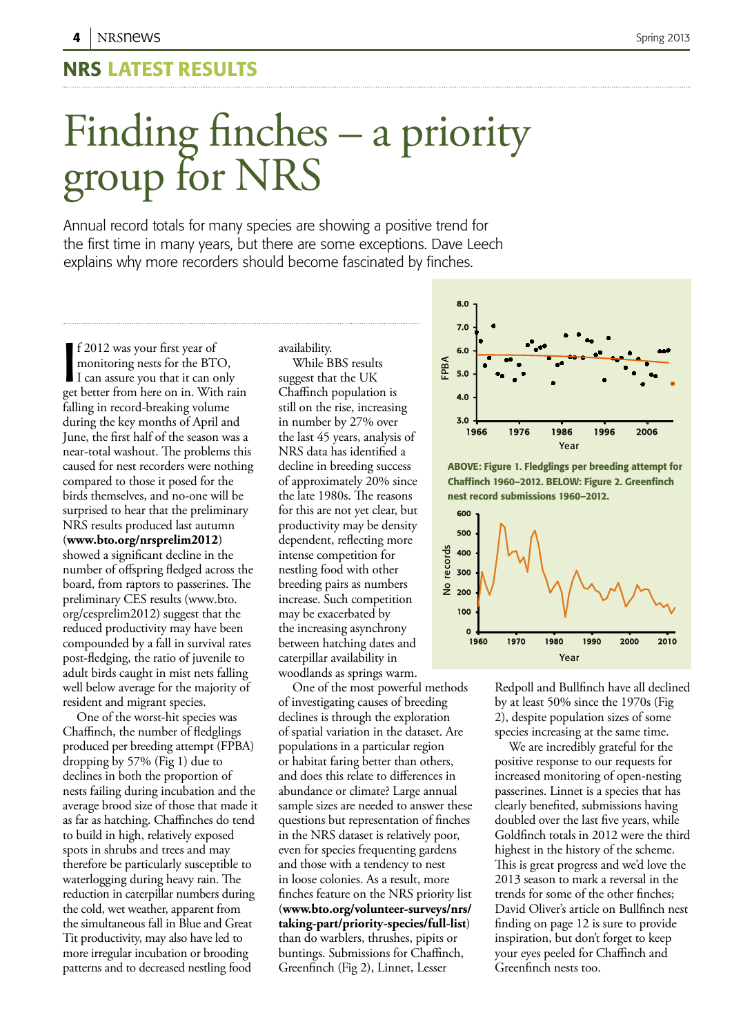## NRS Latest results

# Finding finches – a priority group for NRS

Annual record totals for many species are showing a positive trend for the first time in many years, but there are some exceptions. Dave Leech explains why more recorders should become fascinated by finches.

f 2012 was your first year of<br>monitoring nests for the BTO,<br>I can assure you that it can only<br>get better from here on in. With rain f 2012 was your first year of monitoring nests for the BTO, I can assure you that it can only falling in record-breaking volume during the key months of April and June, the first half of the season was a near-total washout. The problems this caused for nest recorders were nothing compared to those it posed for the birds themselves, and no-one will be surprised to hear that the preliminary NRS results produced last autumn (**www.bto.org/nrsprelim2012**) showed a significant decline in the number of offspring fledged across the board, from raptors to passerines. The preliminary CES results (www.bto. org/cesprelim2012) suggest that the reduced productivity may have been compounded by a fall in survival rates post-fledging, the ratio of juvenile to adult birds caught in mist nets falling well below average for the majority of resident and migrant species.

One of the worst-hit species was Chaffinch, the number of fledglings produced per breeding attempt (FPBA) dropping by 57% (Fig 1) due to declines in both the proportion of nests failing during incubation and the average brood size of those that made it as far as hatching. Chaffinches do tend to build in high, relatively exposed spots in shrubs and trees and may therefore be particularly susceptible to waterlogging during heavy rain. The reduction in caterpillar numbers during the cold, wet weather, apparent from the simultaneous fall in Blue and Great Tit productivity, may also have led to more irregular incubation or brooding patterns and to decreased nestling food

availability.

While BBS results suggest that the UK Chaffinch population is still on the rise, increasing in number by 27% over the last 45 years, analysis of NRS data has identified a decline in breeding success of approximately 20% since the late 1980s. The reasons for this are not yet clear, but productivity may be density dependent, reflecting more intense competition for nestling food with other breeding pairs as numbers increase. Such competition may be exacerbated by the increasing asynchrony between hatching dates and caterpillar availability in woodlands as springs warm.

One of the most powerful methods of investigating causes of breeding declines is through the exploration of spatial variation in the dataset. Are populations in a particular region or habitat faring better than others, and does this relate to differences in abundance or climate? Large annual sample sizes are needed to answer these questions but representation of finches in the NRS dataset is relatively poor, even for species frequenting gardens and those with a tendency to nest in loose colonies. As a result, more finches feature on the NRS priority list (**www.bto.org/volunteer-surveys/nrs/ taking-part/priority-species/full-list**) than do warblers, thrushes, pipits or buntings. Submissions for Chaffinch, Greenfinch (Fig 2), Linnet, Lesser



ABOVE: Figure 1. Fledglings per breeding attempt for Chaffinch 1960–2012. BELOW: Figure 2. Greenfinch nest record submissions 1960–2012.



Redpoll and Bullfinch have all declined by at least 50% since the 1970s (Fig 2), despite population sizes of some species increasing at the same time.

We are incredibly grateful for the positive response to our requests for increased monitoring of open-nesting passerines. Linnet is a species that has clearly benefited, submissions having doubled over the last five years, while Goldfinch totals in 2012 were the third highest in the history of the scheme. This is great progress and we'd love the 2013 season to mark a reversal in the trends for some of the other finches; David Oliver's article on Bullfinch nest finding on page 12 is sure to provide inspiration, but don't forget to keep your eyes peeled for Chaffinch and Greenfinch nests too.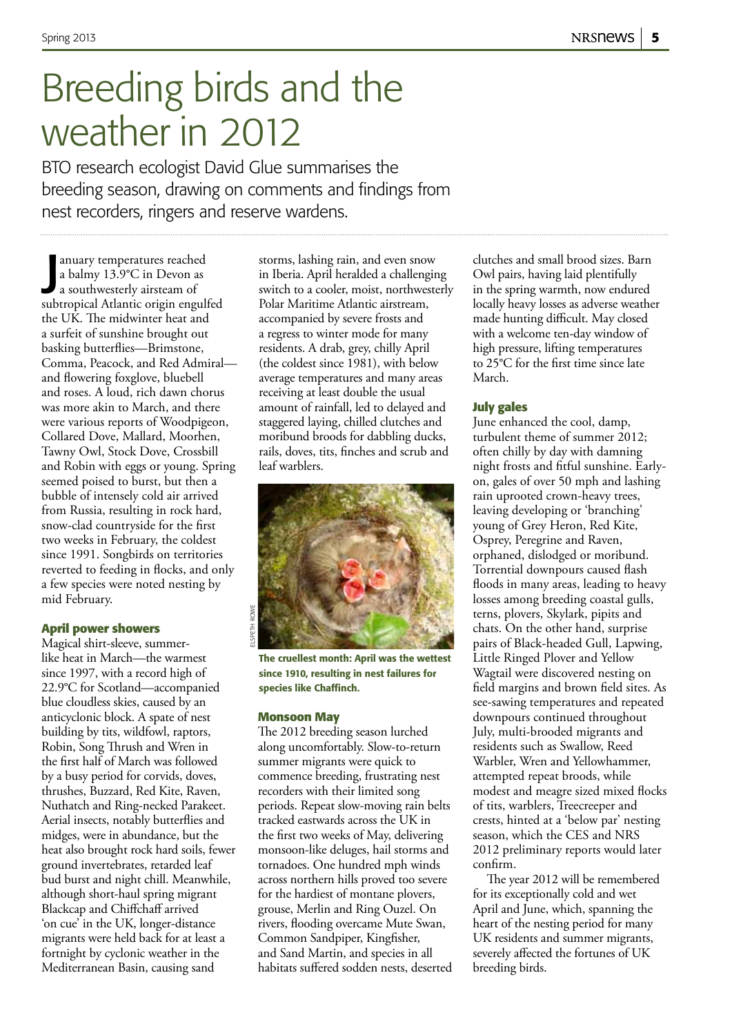## Breeding birds and the weather in 2012

BTO research ecologist David Glue summarises the breeding season, drawing on comments and findings from nest recorders, ringers and reserve wardens.

a balmy 13.9°C in Devon as<br>a southwesterly airsteam of<br>subtropical Atlantic origin engulfed anuary temperatures reached a balmy 13.9°C in Devon as a southwesterly airsteam of the UK. The midwinter heat and a surfeit of sunshine brought out basking butterflies—Brimstone, Comma, Peacock, and Red Admiral and flowering foxglove, bluebell and roses. A loud, rich dawn chorus was more akin to March, and there were various reports of Woodpigeon, Collared Dove, Mallard, Moorhen, Tawny Owl, Stock Dove, Crossbill and Robin with eggs or young. Spring seemed poised to burst, but then a bubble of intensely cold air arrived from Russia, resulting in rock hard, snow-clad countryside for the first two weeks in February, the coldest since 1991. Songbirds on territories reverted to feeding in flocks, and only a few species were noted nesting by mid February.

## **April power showers**

Magical shirt-sleeve, summerlike heat in March—the warmest since 1997, with a record high of 22.9°C for Scotland—accompanied blue cloudless skies, caused by an anticyclonic block. A spate of nest building by tits, wildfowl, raptors, Robin, Song Thrush and Wren in the first half of March was followed by a busy period for corvids, doves, thrushes, Buzzard, Red Kite, Raven, Nuthatch and Ring-necked Parakeet. Aerial insects, notably butterflies and midges, were in abundance, but the heat also brought rock hard soils, fewer ground invertebrates, retarded leaf bud burst and night chill. Meanwhile, although short-haul spring migrant Blackcap and Chiffchaff arrived 'on cue' in the UK, longer-distance migrants were held back for at least a fortnight by cyclonic weather in the Mediterranean Basin, causing sand

storms, lashing rain, and even snow in Iberia. April heralded a challenging switch to a cooler, moist, northwesterly Polar Maritime Atlantic airstream, accompanied by severe frosts and a regress to winter mode for many residents. A drab, grey, chilly April (the coldest since 1981), with below average temperatures and many areas receiving at least double the usual amount of rainfall, led to delayed and staggered laying, chilled clutches and moribund broods for dabbling ducks, rails, doves, tits, finches and scrub and leaf warblers.



The cruellest month: April was the wettest since 1910, resulting in nest failures for species like Chaffinch.

## **Monsoon May**

The 2012 breeding season lurched along uncomfortably. Slow-to-return summer migrants were quick to commence breeding, frustrating nest recorders with their limited song periods. Repeat slow-moving rain belts tracked eastwards across the UK in the first two weeks of May, delivering monsoon-like deluges, hail storms and tornadoes. One hundred mph winds across northern hills proved too severe for the hardiest of montane plovers, grouse, Merlin and Ring Ouzel. On rivers, flooding overcame Mute Swan, Common Sandpiper, Kingfisher, and Sand Martin, and species in all habitats suffered sodden nests, deserted clutches and small brood sizes. Barn Owl pairs, having laid plentifully in the spring warmth, now endured locally heavy losses as adverse weather made hunting difficult. May closed with a welcome ten-day window of high pressure, lifting temperatures to 25°C for the first time since late March.

## **July gales**

June enhanced the cool, damp, turbulent theme of summer 2012; often chilly by day with damning night frosts and fitful sunshine. Earlyon, gales of over 50 mph and lashing rain uprooted crown-heavy trees, leaving developing or 'branching' young of Grey Heron, Red Kite, Osprey, Peregrine and Raven, orphaned, dislodged or moribund. Torrential downpours caused flash floods in many areas, leading to heavy losses among breeding coastal gulls, terns, plovers, Skylark, pipits and chats. On the other hand, surprise pairs of Black-headed Gull, Lapwing, Little Ringed Plover and Yellow Wagtail were discovered nesting on field margins and brown field sites. As see-sawing temperatures and repeated downpours continued throughout July, multi-brooded migrants and residents such as Swallow, Reed Warbler, Wren and Yellowhammer, attempted repeat broods, while modest and meagre sized mixed flocks of tits, warblers, Treecreeper and crests, hinted at a 'below par' nesting season, which the CES and NRS 2012 preliminary reports would later confirm.

The year 2012 will be remembered for its exceptionally cold and wet April and June, which, spanning the heart of the nesting period for many UK residents and summer migrants, severely affected the fortunes of UK breeding birds.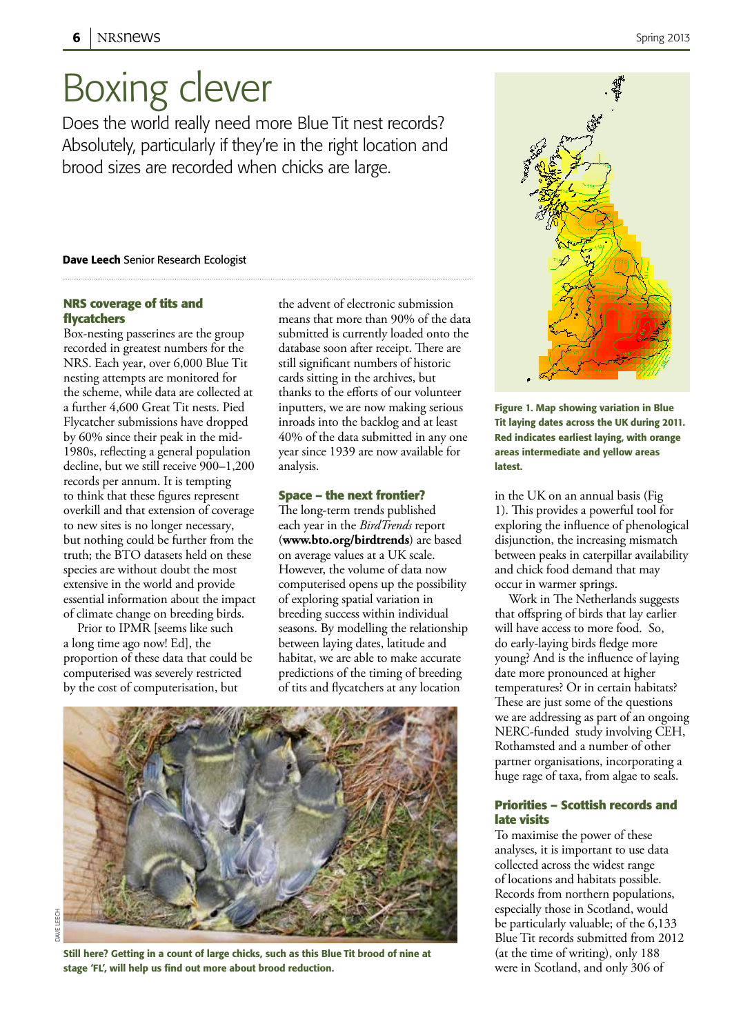## Boxing clever

Does the world really need more Blue Tit nest records? Absolutely, particularly if they're in the right location and brood sizes are recorded when chicks are large.

### Dave Leech Senior Research Ecologist

## **NRS coverage of tits and flycatchers**

Box-nesting passerines are the group recorded in greatest numbers for the NRS. Each year, over 6,000 Blue Tit nesting attempts are monitored for the scheme, while data are collected at a further 4,600 Great Tit nests. Pied Flycatcher submissions have dropped by 60% since their peak in the mid-1980s, reflecting a general population decline, but we still receive 900–1,200 records per annum. It is tempting to think that these figures represent overkill and that extension of coverage to new sites is no longer necessary, but nothing could be further from the truth; the BTO datasets held on these species are without doubt the most extensive in the world and provide essential information about the impact of climate change on breeding birds.

Prior to IPMR [seems like such a long time ago now! Ed], the proportion of these data that could be computerised was severely restricted by the cost of computerisation, but

LEECH dave leech**DAVE**  the advent of electronic submission means that more than 90% of the data submitted is currently loaded onto the database soon after receipt. There are still significant numbers of historic cards sitting in the archives, but thanks to the efforts of our volunteer inputters, we are now making serious inroads into the backlog and at least 40% of the data submitted in any one year since 1939 are now available for analysis.

### **Space – the next frontier?**

The long-term trends published each year in the *BirdTrends* report (**www.bto.org/birdtrends**) are based on average values at a UK scale. However, the volume of data now computerised opens up the possibility of exploring spatial variation in breeding success within individual seasons. By modelling the relationship between laying dates, latitude and habitat, we are able to make accurate predictions of the timing of breeding of tits and flycatchers at any location



Still here? Getting in a count of large chicks, such as this Blue Tit brood of nine at stage 'FL', will help us find out more about brood reduction.



Figure 1. Map showing variation in Blue Tit laying dates across the UK during 2011. Red indicates earliest laying, with orange areas intermediate and yellow areas latest.

in the UK on an annual basis (Fig 1). This provides a powerful tool for exploring the influence of phenological disjunction, the increasing mismatch between peaks in caterpillar availability and chick food demand that may occur in warmer springs.

Work in The Netherlands suggests that offspring of birds that lay earlier will have access to more food. So, do early-laying birds fledge more young? And is the influence of laying date more pronounced at higher temperatures? Or in certain habitats? These are just some of the questions we are addressing as part of an ongoing NERC-funded study involving CEH, Rothamsted and a number of other partner organisations, incorporating a huge rage of taxa, from algae to seals.

## **Priorities – Scottish records and late visits**

To maximise the power of these analyses, it is important to use data collected across the widest range of locations and habitats possible. Records from northern populations, especially those in Scotland, would be particularly valuable; of the 6,133 Blue Tit records submitted from 2012 (at the time of writing), only 188 were in Scotland, and only 306 of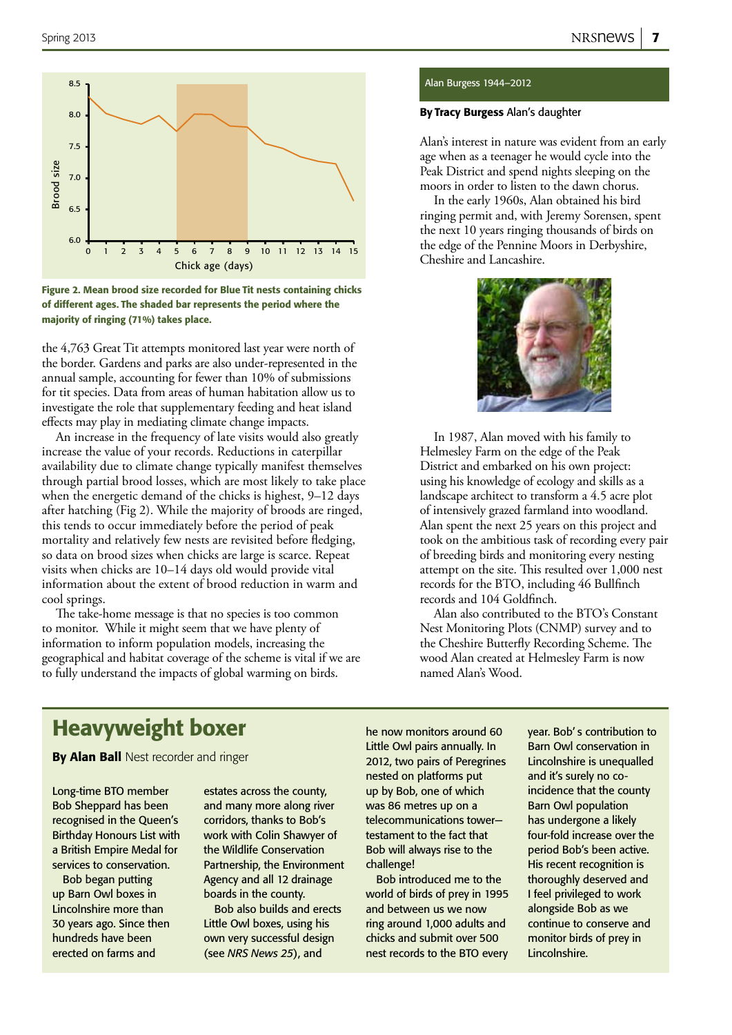



the 4,763 Great Tit attempts monitored last year were north of the border. Gardens and parks are also under-represented in the annual sample, accounting for fewer than 10% of submissions for tit species. Data from areas of human habitation allow us to investigate the role that supplementary feeding and heat island effects may play in mediating climate change impacts.

An increase in the frequency of late visits would also greatly increase the value of your records. Reductions in caterpillar availability due to climate change typically manifest themselves through partial brood losses, which are most likely to take place when the energetic demand of the chicks is highest, 9–12 days after hatching (Fig 2). While the majority of broods are ringed, this tends to occur immediately before the period of peak mortality and relatively few nests are revisited before fledging, so data on brood sizes when chicks are large is scarce. Repeat visits when chicks are 10–14 days old would provide vital information about the extent of brood reduction in warm and cool springs.

The take-home message is that no species is too common to monitor. While it might seem that we have plenty of information to inform population models, increasing the geographical and habitat coverage of the scheme is vital if we are to fully understand the impacts of global warming on birds.

#### Alan Burgess 1944–2012

### By Tracy Burgess Alan's daughter

Alan's interest in nature was evident from an early age when as a teenager he would cycle into the Peak District and spend nights sleeping on the moors in order to listen to the dawn chorus.

In the early 1960s, Alan obtained his bird ringing permit and, with Jeremy Sorensen, spent the next 10 years ringing thousands of birds on the edge of the Pennine Moors in Derbyshire, Cheshire and Lancashire.



In 1987, Alan moved with his family to Helmesley Farm on the edge of the Peak District and embarked on his own project: using his knowledge of ecology and skills as a landscape architect to transform a 4.5 acre plot of intensively grazed farmland into woodland. Alan spent the next 25 years on this project and took on the ambitious task of recording every pair of breeding birds and monitoring every nesting attempt on the site. This resulted over 1,000 nest records for the BTO, including 46 Bullfinch records and 104 Goldfinch.

Alan also contributed to the BTO's Constant Nest Monitoring Plots (CNMP) survey and to the Cheshire Butterfly Recording Scheme. The wood Alan created at Helmesley Farm is now named Alan's Wood.

## Heavyweight boxer

By Alan Ball Nest recorder and ringer

Long-time BTO member Bob Sheppard has been recognised in the Queen's Birthday Honours List with a British Empire Medal for services to conservation.

Bob began putting up Barn Owl boxes in Lincolnshire more than 30 years ago. Since then hundreds have been erected on farms and

estates across the county, and many more along river corridors, thanks to Bob's work with Colin Shawyer of the Wildlife Conservation Partnership, the Environment Agency and all 12 drainage boards in the county.

Bob also builds and erects Little Owl boxes, using his own very successful design (see *NRS News 25*), and

he now monitors around 60 Little Owl pairs annually. In 2012, two pairs of Peregrines nested on platforms put up by Bob, one of which was 86 metres up on a telecommunications tower testament to the fact that Bob will always rise to the challenge!

Bob introduced me to the world of birds of prey in 1995 and between us we now ring around 1,000 adults and chicks and submit over 500 nest records to the BTO every year. Bob' s contribution to Barn Owl conservation in Lincolnshire is unequalled and it's surely no coincidence that the county Barn Owl population has undergone a likely four-fold increase over the period Bob's been active. His recent recognition is thoroughly deserved and I feel privileged to work alongside Bob as we continue to conserve and monitor birds of prey in Lincolnshire.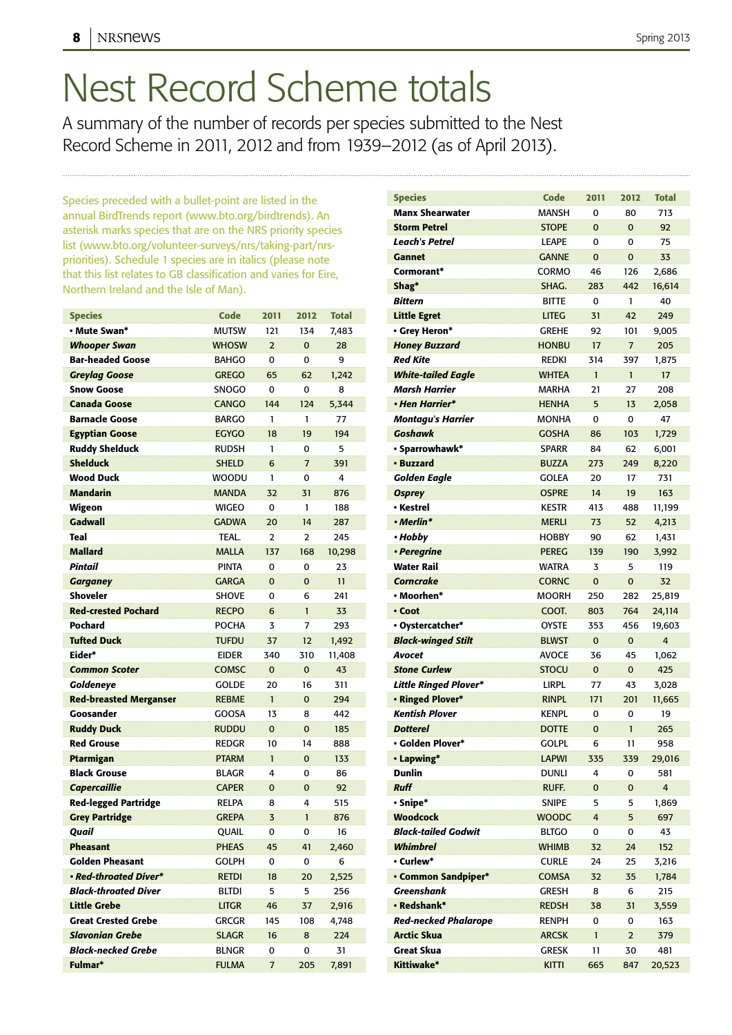# Nest Record Scheme totals

A summary of the number of records per species submitted to the Nest Record Scheme in 2011, 2012 and from 1939–2012 (as of April 2013).

Species preceded with a bullet-point are listed in the annual BirdTrends report (www.bto.org/birdtrends). An asterisk marks species that are on the NRS priority species list (www.bto.org/volunteer-surveys/nrs/taking-part/nrspriorities). Schedule 1 species are in italics (please note that this list relates to GB classification and varies for Eire, Northern Ireland and the Isle of Man).

| <b>Species</b>                | Code         | 2011           | 2012           | <b>Total</b> |
|-------------------------------|--------------|----------------|----------------|--------------|
| • Mute Swan*                  | <b>MUTSW</b> | 121            | 134            | 7,483        |
| Whooper Swan                  | <b>WHOSW</b> | $\overline{2}$ | 0              | 28           |
| <b>Bar-headed Goose</b>       | <b>BAHGO</b> | 0              | 0              | 9            |
| Greylag Goose                 | <b>GREGO</b> | 65             | 62             | 1,242        |
| <b>Snow Goose</b>             | <b>SNOGO</b> | 0              | 0              | 8            |
| <b>Canada Goose</b>           | <b>CANGO</b> | 144            | 124            | 5,344        |
| <b>Barnacle Goose</b>         | <b>BARGO</b> | 1              | 1              | 77           |
| <b>Egyptian Goose</b>         | <b>EGYGO</b> | 18             | 19             | 194          |
| <b>Ruddy Shelduck</b>         | <b>RUDSH</b> | 1              | 0              | 5            |
| <b>Shelduck</b>               | <b>SHELD</b> | 6              | $\overline{7}$ | 391          |
| <b>Wood Duck</b>              | <b>WOODU</b> | 1              | 0              | 4            |
| <b>Mandarin</b>               | <b>MANDA</b> | 32             | 31             | 876          |
| Wigeon                        | <b>WIGEO</b> | 0              | 1              | 188          |
| Gadwall                       | <b>GADWA</b> | 20             | 14             | 287          |
| <b>Teal</b>                   | TEAL.        | $\overline{2}$ | 2              | 245          |
| <b>Mallard</b>                | <b>MALLA</b> | 137            | 168            | 10,298       |
| Pintail                       | <b>PINTA</b> | 0              | 0              | 23           |
| <b>Garganey</b>               | <b>GARGA</b> | $\Omega$       | 0              | 11           |
| <b>Shoveler</b>               | <b>SHOVE</b> | 0              | 6              | 241          |
| <b>Red-crested Pochard</b>    | <b>RECPO</b> | 6              | $\mathbf{1}$   | 33           |
| Pochard                       | <b>POCHA</b> | 3              | 7              | 293          |
| <b>Tufted Duck</b>            | <b>TUFDU</b> | 37             | 12             | 1,492        |
| Eider*                        | <b>EIDER</b> | 340            | 310            | 11,408       |
| <b>Common Scoter</b>          | COMSC        | $\Omega$       | $\Omega$       | 43           |
| Goldeneye                     | <b>GOLDE</b> | 20             | 16             | 311          |
| <b>Red-breasted Merganser</b> | <b>REBME</b> | $\mathbf{1}$   | $\Omega$       | 294          |
| Goosander                     | <b>GOOSA</b> | 13             | 8              | 442          |
| <b>Ruddy Duck</b>             | <b>RUDDU</b> | $\Omega$       | 0              | 185          |
| <b>Red Grouse</b>             | <b>REDGR</b> | 10             | 14             | 888          |
| Ptarmigan                     | <b>PTARM</b> | $\mathbf{1}$   | $\Omega$       | 133          |
| <b>Black Grouse</b>           | <b>BLAGR</b> | 4              | 0              | 86           |
| Capercaillie                  | <b>CAPER</b> | $\mathbf 0$    | 0              | 92           |
| <b>Red-legged Partridge</b>   | <b>RELPA</b> | 8              | 4              | 515          |
| <b>Grey Partridge</b>         | <b>GREPA</b> | 3              | $\mathbf{1}$   | 876          |
| Quail                         | QUAIL        | 0              | 0              | 16           |
| <b>Pheasant</b>               | <b>PHEAS</b> | 45             | 41             | 2,460        |
| <b>Golden Pheasant</b>        | <b>GOLPH</b> | 0              | 0              | 6            |
| • Red-throated Diver*         | <b>RETDI</b> | 18             | 20             | 2,525        |
| <b>Black-throated Diver</b>   | <b>BLTDI</b> | 5              | 5              | 256          |
| <b>Little Grebe</b>           | <b>LITGR</b> | 46             | 37             | 2,916        |
| <b>Great Crested Grebe</b>    | <b>GRCGR</b> | 145            | 108            | 4,748        |
| <b>Slavonian Grebe</b>        | <b>SLAGR</b> | 16             | 8              | 224          |
| <b>Black-necked Grebe</b>     | <b>BLNGR</b> | 0              | 0              | 31           |
| Fulmar*                       | <b>FULMA</b> | 7              | 205            | 7,891        |

| <b>Species</b>               | Code         | 2011           | 2012           | <b>Total</b> |
|------------------------------|--------------|----------------|----------------|--------------|
| <b>Manx Shearwater</b>       | <b>MANSH</b> | 0              | 80             | 713          |
| <b>Storm Petrel</b>          | <b>STOPE</b> | $\Omega$       | $\Omega$       | 92           |
| Leach's Petrel               | <b>LEAPE</b> | 0              | 0              | 75           |
| <b>Gannet</b>                | <b>GANNE</b> | $\Omega$       | $\Omega$       | 33           |
| Cormorant*                   | CORMO        | 46             | 126            | 2,686        |
| Shag*                        | SHAG.        | 283            | 442            | 16,614       |
| <b>Bittern</b>               | <b>BITTE</b> | 0              | 1              | 40           |
| <b>Little Egret</b>          | <b>LITEG</b> | 31             | 42             | 249          |
| • Grey Heron*                | <b>GREHE</b> | 92             | 101            | 9,005        |
| <b>Honey Buzzard</b>         | <b>HONBU</b> | 17             | $\overline{7}$ | 205          |
| <b>Red Kite</b>              | <b>REDKI</b> | 314            | 397            | 1,875        |
| <b>White-tailed Eagle</b>    | <b>WHTEA</b> | $\mathbf{1}$   | 1              | 17           |
| <b>Marsh Harrier</b>         | <b>MARHA</b> | 21             | 27             | 208          |
| • Hen Harrier*               | <b>HENHA</b> | 5              | 13             | 2,058        |
| <b>Montagu's Harrier</b>     | <b>MONHA</b> | 0              | 0              | 47           |
| <b>Goshawk</b>               | <b>GOSHA</b> | 86             | 103            | 1,729        |
| · Sparrowhawk*               | <b>SPARR</b> | 84             | 62             | 6,001        |
| • Buzzard                    | <b>BUZZA</b> | 273            | 249            | 8,220        |
| <b>Golden Eagle</b>          | <b>GOLEA</b> | 20             | 17             | 731          |
| <b>Osprey</b>                | <b>OSPRE</b> | 14             | 19             | 163          |
| • Kestrel                    | <b>KESTR</b> | 413            | 488            | 11,199       |
| • Merlin*                    | <b>MERLI</b> | 73             | 52             | 4,213        |
| • Hobby                      | <b>HOBBY</b> | 90             | 62             | 1,431        |
| • Peregrine                  | <b>PEREG</b> | 139            | 190            | 3,992        |
| <b>Water Rail</b>            | <b>WATRA</b> | 3              | 5              | 119          |
| <b>Corncrake</b>             | <b>CORNC</b> | $\overline{0}$ | $\overline{0}$ | 32           |
| • Moorhen*                   | MOORH        | 250            | 282            | 25,819       |
| • Coot                       | COOT.        | 803            | 764            | 24,114       |
| • Oystercatcher*             | <b>OYSTE</b> | 353            | 456            | 19,603       |
| <b>Black-winged Stilt</b>    | <b>BLWST</b> | $\mathbf 0$    | $\Omega$       | 4            |
| Avocet                       | <b>AVOCE</b> | 36             | 45             | 1,062        |
| <b>Stone Curlew</b>          | <b>STOCU</b> | $\Omega$       | $\Omega$       | 425          |
| <b>Little Ringed Plover*</b> | <b>LIRPL</b> | 77             | 43             | 3,028        |
| • Ringed Plover*             | <b>RINPL</b> | 171            | 201            | 11,665       |
| <b>Kentish Plover</b>        | <b>KENPL</b> | 0              | 0              | 19           |
| <b>Dotterel</b>              | <b>DOTTE</b> | $\mathbf 0$    | 1              | 265          |
| · Golden Plover*             | golpl        | 6              | 11             | 958          |
| • Lapwing*                   | <b>LAPWI</b> | 335            | 339            | 29,016       |
| <b>Dunlin</b>                | DUNLI        | 4              | 0              | 581          |
| <b>Ruff</b>                  | RUFF.        | 0              | $\mathbf 0$    | 4            |
| · Snipe*                     | Snipe        | 5              | 5              | 1,869        |
| <b>Woodcock</b>              | WOODC        | 4              | 5              | 697          |
| <b>Black-tailed Godwit</b>   | <b>BLTGO</b> | 0              | 0              | 43           |
| <b>Whimbrel</b>              | <b>WHIMB</b> | 32             | 24             | 152          |
| • Curlew*                    | <b>CURLE</b> | 24             | 25             | 3,216        |
| <b>• Common Sandpiper*</b>   | <b>COMSA</b> | 32             | 35             | 1,784        |
| Greenshank                   | GRESH        | 8              | 6              | 215          |
| • Redshank*                  | <b>REDSH</b> | 38             | 31             | 3,559        |
| <b>Red-necked Phalarope</b>  | <b>RENPH</b> | 0              | 0              | 163          |
| <b>Arctic Skua</b>           | <b>ARCSK</b> | $\mathbf{1}$   | $\overline{2}$ | 379          |
| <b>Great Skua</b>            | GRESK        | 11             | 30             | 481          |
| Kittiwake*                   | KITTI        | 665            | 847            | 20,523       |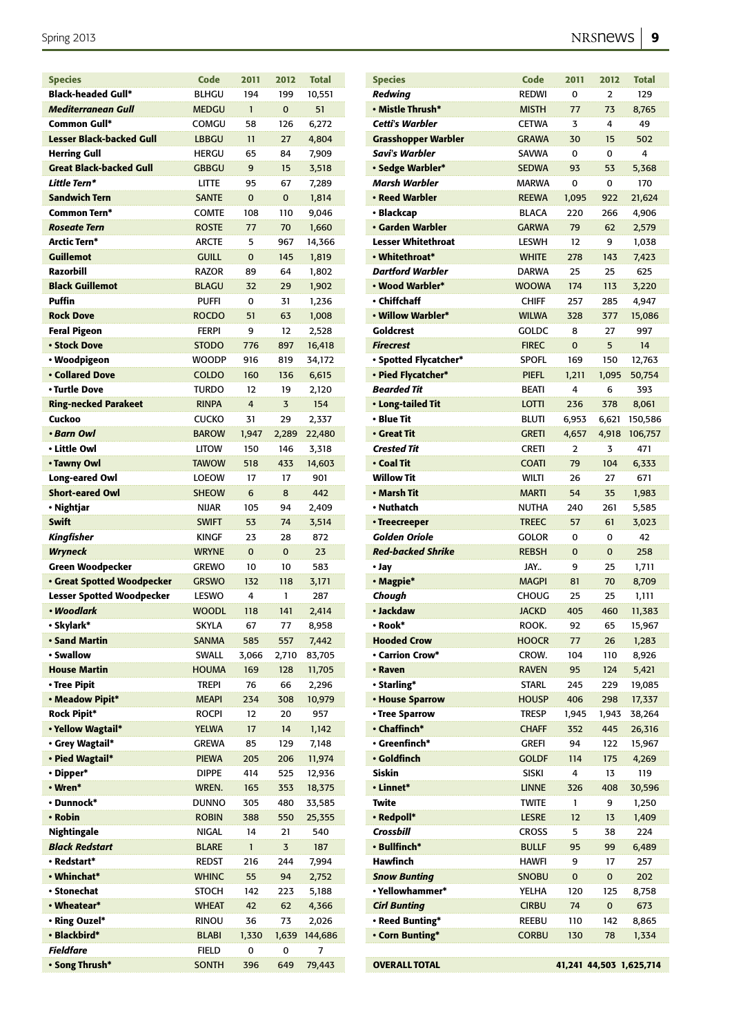| <b>Species</b>                    | Code         | 2011           | 2012     | <b>Total</b> |
|-----------------------------------|--------------|----------------|----------|--------------|
| <b>Black-headed Gull*</b>         | <b>BLHGU</b> | 194            | 199      | 10,551       |
| <b>Mediterranean Gull</b>         | <b>MEDGU</b> | $\mathbf{1}$   | $\Omega$ | 51           |
| Common Gull*                      | COMGU        | 58             | 126      | 6,272        |
| <b>Lesser Black-backed Gull</b>   | <b>LBBGU</b> | 11             | 27       | 4,804        |
| <b>Herring Gull</b>               | <b>HERGU</b> | 65             | 84       | 7,909        |
| <b>Great Black-backed Gull</b>    | <b>GBBGU</b> | 9              | 15       | 3,518        |
| Little Tern*                      | <b>LITTE</b> | 95             | 67       | 7,289        |
| Sandwich Tern                     | <b>SANTE</b> | $\Omega$       | $\Omega$ | 1,814        |
| Common Tern*                      | <b>COMTE</b> | 108            | 110      | 9,046        |
| <b>Roseate Tern</b>               | <b>ROSTE</b> | 77             | 70       | 1,660        |
| Arctic Tern*                      | <b>ARCTE</b> | 5              | 967      | 14,366       |
| <b>Guillemot</b>                  | <b>GUILL</b> | $\overline{0}$ | 145      | 1,819        |
| Razorbill                         | <b>RAZOR</b> | 89             | 64       | 1,802        |
| <b>Black Guillemot</b>            | <b>BLAGU</b> | 32             | 29       | 1,902        |
| Puffin                            | <b>PUFFI</b> | $\Omega$       | 31       | 1,236        |
| <b>Rock Dove</b>                  | <b>ROCDO</b> | 51             | 63       | 1,008        |
| <b>Feral Pigeon</b>               | <b>FERPI</b> | 9              | 12       | 2,528        |
| • Stock Dove                      | <b>STODO</b> | 776            | 897      | 16,418       |
| • Woodpigeon                      | <b>WOODP</b> | 916            | 819      | 34,172       |
| <b>• Collared Dove</b>            | <b>COLDO</b> | 160            | 136      | 6,615        |
| • Turtle Dove                     | TURDO        | 12             | 19       | 2,120        |
| <b>Ring-necked Parakeet</b>       | <b>RINPA</b> | 4              | 3        | 154          |
| Cuckoo                            | <b>CUCKO</b> | 31             | 29       | 2,337        |
| • Barn Owl                        | <b>BAROW</b> | 1,947          | 2,289    | 22,480       |
| • Little Owl                      | <b>LITOW</b> | 150            | 146      | 3,318        |
| • Tawny Owl                       | <b>TAWOW</b> | 518            | 433      | 14,603       |
| Long-eared Owl                    | <b>LOEOW</b> | 17             | 17       | 901          |
| <b>Short-eared Owl</b>            | <b>SHEOW</b> | 6              | 8        | 442          |
| • Nightjar                        | <b>NIJAR</b> | 105            | 94       | 2,409        |
| <b>Swift</b>                      | <b>SWIFT</b> | 53             | 74       | 3,514        |
| Kingfisher                        | <b>KINGF</b> | 23             | 28       | 872          |
| <b>Wryneck</b>                    | <b>WRYNE</b> | $\Omega$       | $\Omega$ | 23           |
| <b>Green Woodpecker</b>           | <b>GREWO</b> | 10             | 10       | 583          |
| <b>· Great Spotted Woodpecker</b> | <b>GRSWO</b> | 132            | 118      | 3,171        |
| <b>Lesser Spotted Woodpecker</b>  | <b>LESWO</b> | 4              | 1        | 287          |
| • Woodlark                        | <b>WOODL</b> | 118            | 141      | 2,414        |
| · Skylark*                        | <b>SKYLA</b> | 67             | 77       | 8,958        |
| <b>· Sand Martin</b>              | <b>SANMA</b> | 585            | 557      | 7,442        |
| • Swallow                         | SWALL        | 3,066          | 2,710    | 83,705       |
| <b>House Martin</b>               | <b>HOUMA</b> | 169            | 128      | 11,705       |
| · Tree Pipit                      | trepi        | 76             | 66       | 2,296        |
| · Meadow Pipit*                   | <b>MEAPI</b> | 234            | 308      | 10,979       |
| <b>Rock Pipit*</b>                | <b>ROCPI</b> | 12             | 20       | 957          |
| · Yellow Wagtail*                 | <b>YELWA</b> | 17             | 14       | 1,142        |
| · Grey Wagtail*                   | <b>GREWA</b> | 85             | 129      | 7,148        |
| • Pied Wagtail*                   | <b>PIEWA</b> | 205            | 206      | 11,974       |
| · Dipper*                         | <b>DIPPE</b> | 414            | 525      | 12,936       |
| • Wren*                           | WREN.        | 165            | 353      | 18,375       |
| • Dunnock*                        | <b>DUNNO</b> | 305            | 480      | 33,585       |
| • Robin                           | <b>ROBIN</b> | 388            | 550      | 25,355       |
| Nightingale                       | <b>NIGAL</b> | 14             | 21       | 540          |
| <b>Black Redstart</b>             | <b>BLARE</b> | $\mathbf{1}$   | 3        | 187          |
| • Redstart*                       | <b>REDST</b> | 216            | 244      | 7,994        |
| • Whinchat*                       | <b>WHINC</b> | 55             | 94       | 2,752        |
| • Stonechat                       | STOCH        | 142            | 223      | 5,188        |
| • Wheatear*                       | WHEAT        | 42             | 62       | 4,366        |
| • Ring Ouzel*                     | rinou        | 36             | 73       | 2,026        |
| · Blackbird*                      | <b>BLABI</b> | 1,330          | 1,639    | 144,686      |
| Fieldfare                         | FIELD        | 0              | 0        | 7            |
| • Song Thrush*                    | <b>SONTH</b> | 396            | 649      | 79,443       |

| <b>Species</b>             | <b>Code</b>  | 2011                    | 2012  | <b>Total</b> |
|----------------------------|--------------|-------------------------|-------|--------------|
| <b>Redwing</b>             | <b>REDWI</b> | 0                       | 2     | 129          |
| • Mistle Thrush*           | <b>MISTH</b> | 77                      | 73    | 8,765        |
| Cetti's Warbler            | <b>CETWA</b> | 3                       | 4     | 49           |
| <b>Grasshopper Warbler</b> | <b>GRAWA</b> | 30                      | 15    | 502          |
| Savi's Warbler             | <b>SAVWA</b> | 0                       | 0     | 4            |
| · Sedge Warbler*           | <b>SEDWA</b> | 93                      | 53    | 5,368        |
| <b>Marsh Warbler</b>       | <b>MARWA</b> | 0                       | 0     | 170          |
| · Reed Warbler             | <b>REEWA</b> | 1,095                   | 922   | 21,624       |
| • Blackcap                 | <b>BLACA</b> | 220                     | 266   | 4,906        |
| · Garden Warbler           | <b>GARWA</b> | 79                      | 62    | 2,579        |
| <b>Lesser Whitethroat</b>  | <b>LESWH</b> | 12                      | 9     | 1,038        |
| • Whitethroat*             | <b>WHITE</b> | 278                     | 143   | 7,423        |
| <b>Dartford Warbler</b>    | <b>DARWA</b> | 25                      | 25    | 625          |
| • Wood Warbler*            | <b>WOOWA</b> | 174                     | 113   | 3,220        |
| • Chiffchaff               |              |                         |       |              |
|                            | <b>CHIFF</b> | 257                     | 285   | 4,947        |
| • Willow Warbler*          | <b>WILWA</b> | 328                     | 377   | 15,086       |
| Goldcrest                  | GOLDC        | 8                       | 27    | 997          |
| <b>Firecrest</b>           | <b>FIREC</b> | $\mathbf 0$             | 5     | 14           |
| • Spotted Flycatcher*      | <b>SPOFL</b> | 169                     | 150   | 12,763       |
| • Pied Flycatcher*         | <b>PIEFL</b> | 1,211                   | 1,095 | 50,754       |
| <b>Bearded Tit</b>         | BEATI        | 4                       | 6     | 393          |
| • Long-tailed Tit          | <b>LOTTI</b> | 236                     | 378   | 8,061        |
| • Blue Tit                 | BLUTI        | 6,953                   | 6,621 | 150,586      |
| • Great Tit                | <b>GRETI</b> | 4,657                   | 4,918 | 106,757      |
| <b>Crested Tit</b>         | <b>CRETI</b> | 2                       | 3     | 471          |
| • Coal Tit                 | <b>COATI</b> | 79                      | 104   | 6,333        |
| <b>Willow Tit</b>          | <b>WILTI</b> | 26                      | 27    | 671          |
| • Marsh Tit                | <b>MARTI</b> | 54                      | 35    | 1,983        |
| • Nuthatch                 | <b>NUTHA</b> | 240                     | 261   | 5,585        |
| • Treecreeper              | <b>TREEC</b> | 57                      | 61    | 3,023        |
| <b>Golden Oriole</b>       | Golor        | 0                       | 0     | 42           |
| <b>Red-backed Shrike</b>   | <b>REBSH</b> | $\mathbf 0$             | 0     | 258          |
| • Jay                      | JAY          | 9                       | 25    | 1,711        |
| · Magpie*                  | <b>MAGPI</b> | 81                      | 70    | 8,709        |
| Chough                     | CHOUG        | 25                      | 25    | 1,111        |
| • Jackdaw                  | <b>JACKD</b> | 405                     | 460   | 11,383       |
| Rook*                      | ROOK.        | 92                      | 65    | 15,967       |
| <b>Hooded Crow</b>         | <b>HOOCR</b> | 77                      | 26    | 1,283        |
| • Carrion Crow*            | CROW.        | 104                     | 110   | 8,926        |
| • Raven                    | <b>RAVEN</b> | 95                      | 124   | 5,421        |
| • Starling*                | <b>STARL</b> | 245                     | 229   | 19,085       |
| • House Sparrow            | <b>HOUSP</b> | 406                     | 298   | 17,337       |
| · Tree Sparrow             | <b>TRESP</b> | 1,945                   | 1,943 | 38,264       |
| • Chaffinch*               | <b>CHAFF</b> | 352                     | 445   | 26,316       |
| • Greenfinch*              | <b>GREFI</b> | 94                      | 122   | 15,967       |
| · Goldfinch                | <b>GOLDF</b> | 114                     | 175   | 4,269        |
| Siskin                     | <b>SISKI</b> | 4                       | 13    | 119          |
| • Linnet*                  |              |                         |       |              |
|                            | <b>LINNE</b> | 326                     | 408   | 30,596       |
| Twite                      | <b>TWITE</b> | 1                       | 9     | 1,250        |
| • Redpoll*                 | <b>LESRE</b> | 12                      | 13    | 1,409        |
| Crossbill                  | <b>CROSS</b> | 5                       | 38    | 224          |
| • Bullfinch*               | <b>BULLF</b> | 95                      | 99    | 6,489        |
| Hawfinch                   | <b>HAWFI</b> | 9                       | 17    | 257          |
| <b>Snow Bunting</b>        | <b>SNOBU</b> | 0                       | 0     | 202          |
| • Yellowhammer*            | YELHA        | 120                     | 125   | 8,758        |
| <b>Cirl Bunting</b>        | <b>CIRBU</b> | 74                      | 0     | 673          |
| • Reed Bunting*            | REEBU        | 110                     | 142   | 8,865        |
| • Corn Bunting*            | <b>CORBU</b> | 130                     | 78    | 1,334        |
|                            |              |                         |       |              |
| <b>OVERALL TOTAL</b>       |              | 41,241 44,503 1,625,714 |       |              |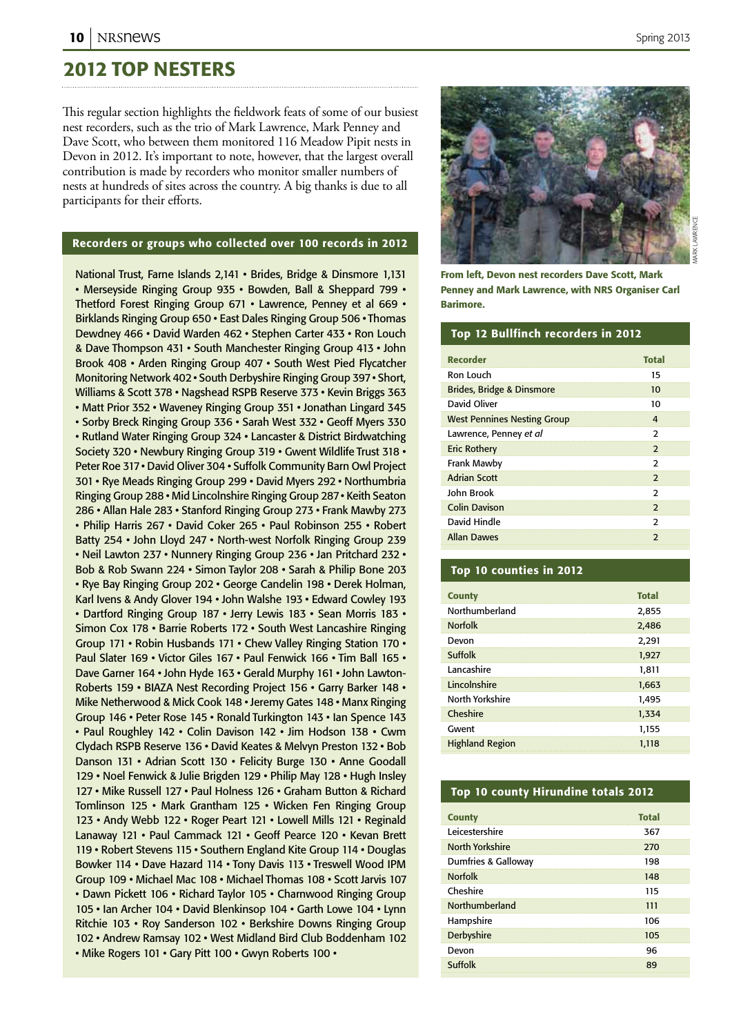## 2012 Top nesters

This regular section highlights the fieldwork feats of some of our busiest nest recorders, such as the trio of Mark Lawrence, Mark Penney and Dave Scott, who between them monitored 116 Meadow Pipit nests in Devon in 2012. It's important to note, however, that the largest overall contribution is made by recorders who monitor smaller numbers of nests at hundreds of sites across the country. A big thanks is due to all participants for their efforts.

### Recorders or groups who collected over 100 records in 2012

National Trust, Farne Islands 2,141 • Brides, Bridge & Dinsmore 1,131 • Merseyside Ringing Group 935 • Bowden, Ball & Sheppard 799 • Thetford Forest Ringing Group 671 • Lawrence, Penney et al 669 • Birklands Ringing Group 650 • East Dales Ringing Group 506 • Thomas Dewdney 466 • David Warden 462 • Stephen Carter 433 • Ron Louch & Dave Thompson 431 • South Manchester Ringing Group 413 • John Brook 408 • Arden Ringing Group 407 • South West Pied Flycatcher Monitoring Network 402 • South Derbyshire Ringing Group 397 • Short, Williams & Scott 378 • Nagshead RSPB Reserve 373 • Kevin Briggs 363 • Matt Prior 352 • Waveney Ringing Group 351 • Jonathan Lingard 345 • Sorby Breck Ringing Group 336 • Sarah West 332 • Geoff Myers 330 • Rutland Water Ringing Group 324 • Lancaster & District Birdwatching Society 320 • Newbury Ringing Group 319 • Gwent Wildlife Trust 318 • Peter Roe 317 • David Oliver 304 • Suffolk Community Barn Owl Project 301 • Rye Meads Ringing Group 299 • David Myers 292 • Northumbria Ringing Group 288 • Mid Lincolnshire Ringing Group 287 • Keith Seaton 286 • Allan Hale 283 • Stanford Ringing Group 273 • Frank Mawby 273 • Philip Harris 267 • David Coker 265 • Paul Robinson 255 • Robert Batty 254 • John Lloyd 247 • North-west Norfolk Ringing Group 239 • Neil Lawton 237 • Nunnery Ringing Group 236 • Jan Pritchard 232 • Bob & Rob Swann 224 • Simon Taylor 208 • Sarah & Philip Bone 203 • Rye Bay Ringing Group 202 • George Candelin 198 • Derek Holman, Karl Ivens & Andy Glover 194 • John Walshe 193 • Edward Cowley 193 • Dartford Ringing Group 187 • Jerry Lewis 183 • Sean Morris 183 • Simon Cox 178 • Barrie Roberts 172 • South West Lancashire Ringing Group 171 • Robin Husbands 171 • Chew Valley Ringing Station 170 • Paul Slater 169 • Victor Giles 167 • Paul Fenwick 166 • Tim Ball 165 • Dave Garner 164 • John Hyde 163 • Gerald Murphy 161 • John Lawton-Roberts 159 • BIAZA Nest Recording Project 156 • Garry Barker 148 • Mike Netherwood & Mick Cook 148 • Jeremy Gates 148 • Manx Ringing Group 146 • Peter Rose 145 • Ronald Turkington 143 • Ian Spence 143 • Paul Roughley 142 • Colin Davison 142 • Jim Hodson 138 • Cwm Clydach RSPB Reserve 136 • David Keates & Melvyn Preston 132 • Bob Danson 131 • Adrian Scott 130 • Felicity Burge 130 • Anne Goodall 129 • Noel Fenwick & Julie Brigden 129 • Philip May 128 • Hugh Insley 127 • Mike Russell 127 • Paul Holness 126 • Graham Button & Richard Tomlinson 125 • Mark Grantham 125 • Wicken Fen Ringing Group 123 • Andy Webb 122 • Roger Peart 121 • Lowell Mills 121 • Reginald Lanaway 121 • Paul Cammack 121 • Geoff Pearce 120 • Kevan Brett 119 • Robert Stevens 115 • Southern England Kite Group 114 • Douglas Bowker 114 • Dave Hazard 114 • Tony Davis 113 • Treswell Wood IPM Group 109 • Michael Mac 108 • Michael Thomas 108 • Scott Jarvis 107 • Dawn Pickett 106 • Richard Taylor 105 • Charnwood Ringing Group 105 • Ian Archer 104 • David Blenkinsop 104 • Garth Lowe 104 • Lynn Ritchie 103 • Roy Sanderson 102 • Berkshire Downs Ringing Group 102 • Andrew Ramsay 102 • West Midland Bird Club Boddenham 102 • Mike Rogers 101 • Gary Pitt 100 • Gwyn Roberts 100 •



From left, Devon nest recorders Dave Scott, Mark Penney and Mark Lawrence, with NRS Organiser Carl Barimore.

#### Top 12 Bullfinch recorders in 2012

| <b>Recorder</b>                      | <b>Total</b>             |
|--------------------------------------|--------------------------|
|                                      |                          |
| Ron Louch                            | 15                       |
| <b>Brides, Bridge &amp; Dinsmore</b> | 10                       |
| David Oliver                         | 10                       |
| <b>West Pennines Nesting Group</b>   | 4                        |
| Lawrence, Penney et al               | $\mathcal{P}$            |
| <b>Eric Rothery</b>                  | $\overline{\phantom{0}}$ |
| Frank Mawby                          | $\mathcal{P}$            |
| <b>Adrian Scott</b>                  | $\mathcal{P}$            |
| John Brook                           | $\mathcal{P}$            |
| <b>Colin Davison</b>                 | 2                        |
| David Hindle                         | 2                        |
| <b>Allan Dawes</b>                   | $\mathcal{P}$            |

### Top 10 counties in 2012

| <b>County</b>          | <b>Total</b> |
|------------------------|--------------|
| Northumberland         | 2,855        |
| <b>Norfolk</b>         | 2,486        |
| Devon                  | 2,291        |
| Suffolk                | 1,927        |
| Lancashire             | 1,811        |
| Lincolnshire           | 1,663        |
| North Yorkshire        | 1.495        |
| Cheshire               | 1.334        |
| Gwent                  | 1.155        |
| <b>Highland Region</b> | 1.118        |

### Top 10 county Hirundine totals 2012

| <b>County</b>          | <b>Total</b> |
|------------------------|--------------|
| I eicestershire        | 367          |
| <b>North Yorkshire</b> | 270          |
| Dumfries & Galloway    | 198          |
| <b>Norfolk</b>         | 148          |
| Cheshire               | 115          |
| Northumberland         | 111          |
| Hampshire              | 106          |
| Derbyshire             | 105          |
| Devon                  | 96           |
| Suffolk                | 89           |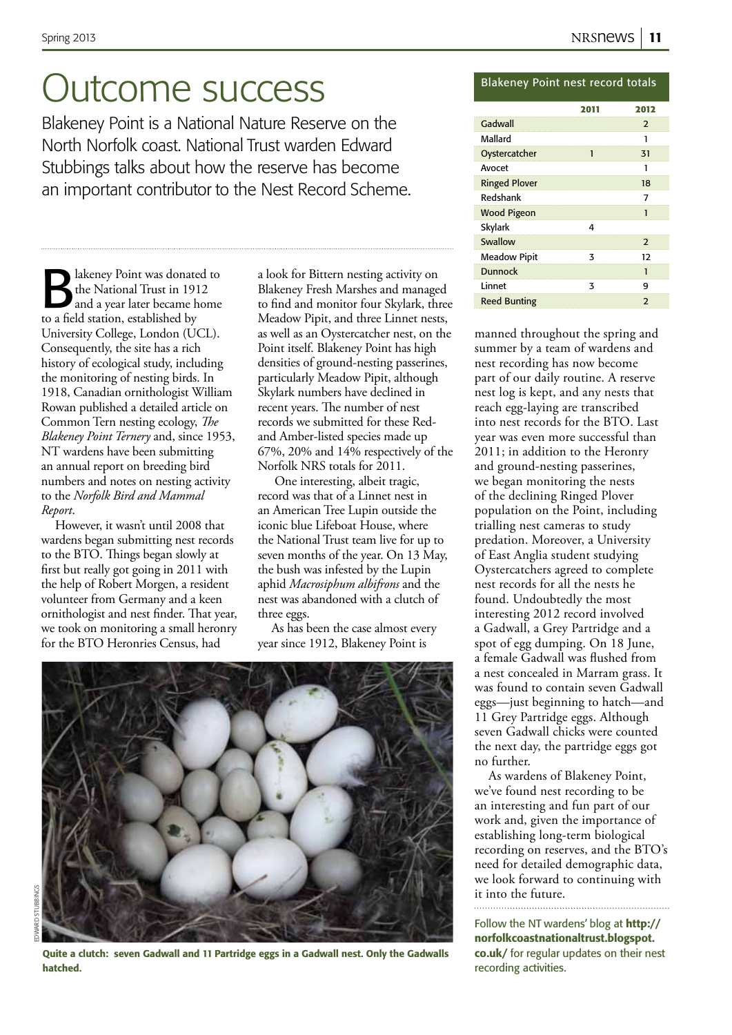## Outcome success

Blakeney Point is a National Nature Reserve on the North Norfolk coast. National Trust warden Edward Stubbings talks about how the reserve has become an important contributor to the Nest Record Scheme.

lakeney Point was donated to the National Trust in 1912 and a year later became home to a field station, established by University College, London (UCL). Consequently, the site has a rich history of ecological study, including the monitoring of nesting birds. In 1918, Canadian ornithologist William Rowan published a detailed article on Common Tern nesting ecology, *The Blakeney Point Ternery* and, since 1953, NT wardens have been submitting an annual report on breeding bird numbers and notes on nesting activity to the *Norfolk Bird and Mammal Report*.

However, it wasn't until 2008 that wardens began submitting nest records to the BTO. Things began slowly at first but really got going in 2011 with the help of Robert Morgen, a resident volunteer from Germany and a keen ornithologist and nest finder. That year, we took on monitoring a small heronry for the BTO Heronries Census, had

a look for Bittern nesting activity on Blakeney Fresh Marshes and managed to find and monitor four Skylark, three Meadow Pipit, and three Linnet nests, as well as an Oystercatcher nest, on the Point itself. Blakeney Point has high densities of ground-nesting passerines, particularly Meadow Pipit, although Skylark numbers have declined in recent years. The number of nest records we submitted for these Redand Amber-listed species made up 67%, 20% and 14% respectively of the Norfolk NRS totals for 2011.

One interesting, albeit tragic, record was that of a Linnet nest in an American Tree Lupin outside the iconic blue Lifeboat House, where the National Trust team live for up to seven months of the year. On 13 May, the bush was infested by the Lupin aphid *Macrosiphum albifrons* and the nest was abandoned with a clutch of three eggs.

As has been the case almost every year since 1912, Blakeney Point is



edward stubbings

Quite a clutch: seven Gadwall and 11 Partridge eggs in a Gadwall nest. Only the Gadwalls hatched.

## Blakeney Point nest record totals

|                      | 2011 | 2012           |
|----------------------|------|----------------|
| Gadwall              |      | $\overline{2}$ |
| Mallard              |      | 1              |
| Oystercatcher        | 1    | 31             |
| Avocet               |      | 1              |
| <b>Ringed Plover</b> |      | 18             |
| Redshank             |      | 7              |
| <b>Wood Pigeon</b>   |      | 1              |
| Skylark              | 4    |                |
| Swallow              |      | $\overline{2}$ |
| <b>Meadow Pipit</b>  | 3    | 12             |
| <b>Dunnock</b>       |      | 1              |
| Linnet               | 3    | 9              |
| <b>Reed Bunting</b>  |      | $\mathcal{P}$  |

manned throughout the spring and summer by a team of wardens and nest recording has now become part of our daily routine. A reserve nest log is kept, and any nests that reach egg-laying are transcribed into nest records for the BTO. Last year was even more successful than 2011; in addition to the Heronry and ground-nesting passerines, we began monitoring the nests of the declining Ringed Plover population on the Point, including trialling nest cameras to study predation. Moreover, a University of East Anglia student studying Oystercatchers agreed to complete nest records for all the nests he found. Undoubtedly the most interesting 2012 record involved a Gadwall, a Grey Partridge and a spot of egg dumping. On 18 June, a female Gadwall was flushed from a nest concealed in Marram grass. It was found to contain seven Gadwall eggs—just beginning to hatch—and 11 Grey Partridge eggs. Although seven Gadwall chicks were counted the next day, the partridge eggs got no further.

As wardens of Blakeney Point, we've found nest recording to be an interesting and fun part of our work and, given the importance of establishing long-term biological recording on reserves, and the BTO's need for detailed demographic data, we look forward to continuing with it into the future.

Follow the NT wardens' blog at http:// norfolkcoastnationaltrust.blogspot. co.uk/ for regular updates on their nest recording activities.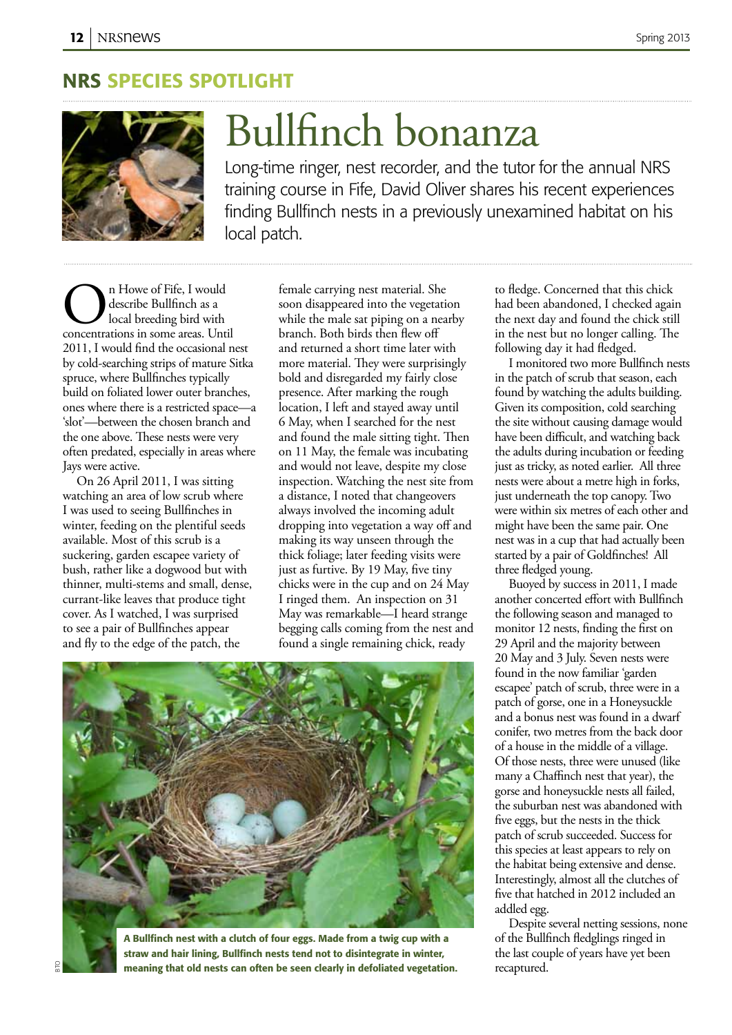## NRS SPECIES Spotlight



# Bullfinch bonanza

Long-time ringer, nest recorder, and the tutor for the annual NRS training course in Fife, David Oliver shares his recent experiences finding Bullfinch nests in a previously unexamined habitat on his local patch.

**Concentration** In Howe of Fife, I would<br>describe Bullfinch as a<br>concentrations in some areas. Until describe Bullfinch as a local breeding bird with 2011, I would find the occasional nest by cold-searching strips of mature Sitka spruce, where Bullfinches typically build on foliated lower outer branches, ones where there is a restricted space—a 'slot'—between the chosen branch and the one above. These nests were very often predated, especially in areas where Jays were active.

On 26 April 2011, I was sitting watching an area of low scrub where I was used to seeing Bullfinches in winter, feeding on the plentiful seeds available. Most of this scrub is a suckering, garden escapee variety of bush, rather like a dogwood but with thinner, multi-stems and small, dense, currant-like leaves that produce tight cover. As I watched, I was surprised to see a pair of Bullfinches appear and fly to the edge of the patch, the

female carrying nest material. She soon disappeared into the vegetation while the male sat piping on a nearby branch. Both birds then flew off and returned a short time later with more material. They were surprisingly bold and disregarded my fairly close presence. After marking the rough location, I left and stayed away until 6 May, when I searched for the nest and found the male sitting tight. Then on 11 May, the female was incubating and would not leave, despite my close inspection. Watching the nest site from a distance, I noted that changeovers always involved the incoming adult dropping into vegetation a way off and making its way unseen through the thick foliage; later feeding visits were just as furtive. By 19 May, five tiny chicks were in the cup and on 24 May I ringed them. An inspection on 31 May was remarkable—I heard strange begging calls coming from the nest and found a single remaining chick, ready





bto

A Bullfinch nest with a clutch of four eggs. Made from a twig cup with a straw and hair lining, Bullfinch nests tend not to disintegrate in winter, meaning that old nests can often be seen clearly in defoliated vegetation.

to fledge. Concerned that this chick had been abandoned, I checked again the next day and found the chick still in the nest but no longer calling. The following day it had fledged.

I monitored two more Bullfinch nests in the patch of scrub that season, each found by watching the adults building. Given its composition, cold searching the site without causing damage would have been difficult, and watching back the adults during incubation or feeding just as tricky, as noted earlier. All three nests were about a metre high in forks, just underneath the top canopy. Two were within six metres of each other and might have been the same pair. One nest was in a cup that had actually been started by a pair of Goldfinches! All three fledged young.

Buoyed by success in 2011, I made another concerted effort with Bullfinch the following season and managed to monitor 12 nests, finding the first on 29 April and the majority between 20 May and 3 July. Seven nests were found in the now familiar 'garden escapee' patch of scrub, three were in a patch of gorse, one in a Honeysuckle and a bonus nest was found in a dwarf conifer, two metres from the back door of a house in the middle of a village. Of those nests, three were unused (like many a Chaffinch nest that year), the gorse and honeysuckle nests all failed, the suburban nest was abandoned with five eggs, but the nests in the thick patch of scrub succeeded. Success for this species at least appears to rely on the habitat being extensive and dense. Interestingly, almost all the clutches of five that hatched in 2012 included an addled egg.

Despite several netting sessions, none of the Bullfinch fledglings ringed in the last couple of years have yet been recaptured.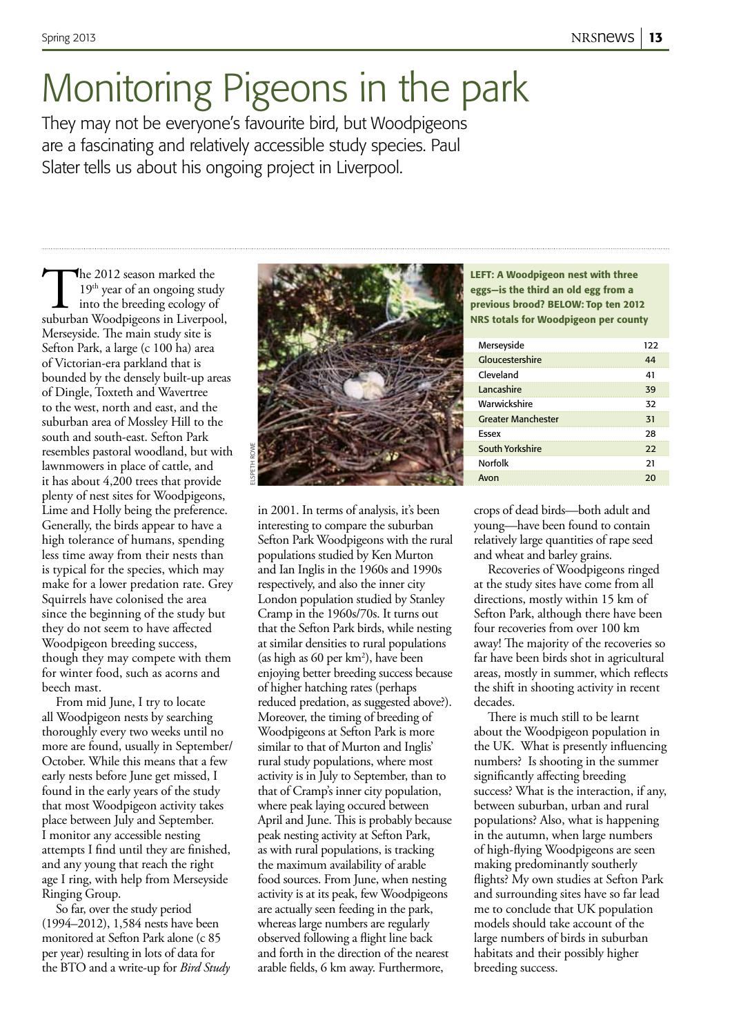# Monitoring Pigeons in the park

They may not be everyone's favourite bird, but Woodpigeons are a fascinating and relatively accessible study species. Paul Slater tells us about his ongoing project in Liverpool.

The 2012 season marked the<br>19<sup>th</sup> year of an ongoing study<br>into the breeding ecology of<br>suburban Woodpigeons in Liverpool,  $19<sup>th</sup>$  year of an ongoing study into the breeding ecology of Merseyside. The main study site is Sefton Park, a large (c 100 ha) area of Victorian-era parkland that is bounded by the densely built-up areas of Dingle, Toxteth and Wavertree to the west, north and east, and the suburban area of Mossley Hill to the south and south-east. Sefton Park resembles pastoral woodland, but with lawnmowers in place of cattle, and it has about 4,200 trees that provide plenty of nest sites for Woodpigeons, Lime and Holly being the preference. Generally, the birds appear to have a high tolerance of humans, spending less time away from their nests than is typical for the species, which may make for a lower predation rate. Grey Squirrels have colonised the area since the beginning of the study but they do not seem to have affected Woodpigeon breeding success, though they may compete with them for winter food, such as acorns and beech mast.

From mid June, I try to locate all Woodpigeon nests by searching thoroughly every two weeks until no more are found, usually in September/ October. While this means that a few early nests before June get missed, I found in the early years of the study that most Woodpigeon activity takes place between July and September. I monitor any accessible nesting attempts I find until they are finished, and any young that reach the right age I ring, with help from Merseyside Ringing Group.

So far, over the study period (1994–2012), 1,584 nests have been monitored at Sefton Park alone (c 85 per year) resulting in lots of data for the BTO and a write-up for *Bird Study* 



in 2001. In terms of analysis, it's been interesting to compare the suburban Sefton Park Woodpigeons with the rural populations studied by Ken Murton and Ian Inglis in the 1960s and 1990s respectively, and also the inner city London population studied by Stanley Cramp in the 1960s/70s. It turns out that the Sefton Park birds, while nesting at similar densities to rural populations (as high as 60 per km2 ), have been enjoying better breeding success because of higher hatching rates (perhaps reduced predation, as suggested above?). Moreover, the timing of breeding of Woodpigeons at Sefton Park is more similar to that of Murton and Inglis' rural study populations, where most activity is in July to September, than to that of Cramp's inner city population, where peak laying occured between April and June. This is probably because peak nesting activity at Sefton Park, as with rural populations, is tracking the maximum availability of arable food sources. From June, when nesting activity is at its peak, few Woodpigeons are actually seen feeding in the park, whereas large numbers are regularly observed following a flight line back and forth in the direction of the nearest arable fields, 6 km away. Furthermore,

LEFT: A Woodpigeon nest with three eggs—is the third an old egg from a previous brood? BELOW: Top ten 2012 NRS totals for Woodpigeon per county

| Merseyside                | 122 |
|---------------------------|-----|
| Gloucestershire           | 44  |
| Cleveland                 | 41  |
| <b>Lancashire</b>         | 39  |
| Warwickshire              | 32  |
| <b>Greater Manchester</b> | 31  |
| Fssex                     | 28  |
| South Yorkshire           | 22  |
| <b>Norfolk</b>            | 21  |
| Avon                      | 20  |

crops of dead birds—both adult and young—have been found to contain relatively large quantities of rape seed and wheat and barley grains.

Recoveries of Woodpigeons ringed at the study sites have come from all directions, mostly within 15 km of Sefton Park, although there have been four recoveries from over 100 km away! The majority of the recoveries so far have been birds shot in agricultural areas, mostly in summer, which reflects the shift in shooting activity in recent decades.

There is much still to be learnt about the Woodpigeon population in the UK. What is presently influencing numbers? Is shooting in the summer significantly affecting breeding success? What is the interaction, if any, between suburban, urban and rural populations? Also, what is happening in the autumn, when large numbers of high-flying Woodpigeons are seen making predominantly southerly flights? My own studies at Sefton Park and surrounding sites have so far lead me to conclude that UK population models should take account of the large numbers of birds in suburban habitats and their possibly higher breeding success.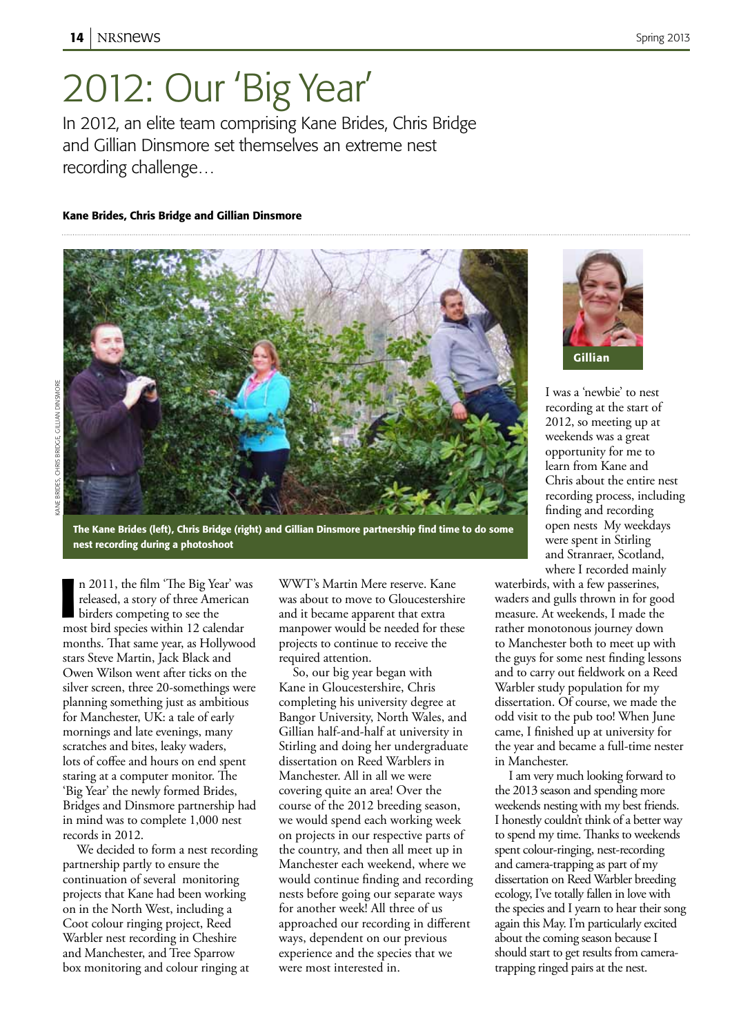## 2012: Our 'Big Year'

In 2012, an elite team comprising Kane Brides, Chris Bridge and Gillian Dinsmore set themselves an extreme nest recording challenge…

## Kane Brides, Chris Bridge and Gillian Dinsmore



The Kane Brides (left), Chris Bridge (right) and Gillian Dinsmore partnership find time to do some nest recording during a photoshoot

In 2011, the film 'The Big Year' was released, a story of three American birders competing to see the most bird species within 12 calendar n 2011, the film 'The Big Year' was released, a story of three American birders competing to see the months. That same year, as Hollywood stars Steve Martin, Jack Black and Owen Wilson went after ticks on the silver screen, three 20-somethings were planning something just as ambitious for Manchester, UK: a tale of early mornings and late evenings, many scratches and bites, leaky waders, lots of coffee and hours on end spent staring at a computer monitor. The 'Big Year' the newly formed Brides, Bridges and Dinsmore partnership had in mind was to complete 1,000 nest records in 2012.

We decided to form a nest recording partnership partly to ensure the continuation of several monitoring projects that Kane had been working on in the North West, including a Coot colour ringing project, Reed Warbler nest recording in Cheshire and Manchester, and Tree Sparrow box monitoring and colour ringing at

WWT's Martin Mere reserve. Kane was about to move to Gloucestershire and it became apparent that extra manpower would be needed for these projects to continue to receive the required attention.

So, our big year began with Kane in Gloucestershire, Chris completing his university degree at Bangor University, North Wales, and Gillian half-and-half at university in Stirling and doing her undergraduate dissertation on Reed Warblers in Manchester. All in all we were covering quite an area! Over the course of the 2012 breeding season, we would spend each working week on projects in our respective parts of the country, and then all meet up in Manchester each weekend, where we would continue finding and recording nests before going our separate ways for another week! All three of us approached our recording in different ways, dependent on our previous experience and the species that we were most interested in.



I was a 'newbie' to nest recording at the start of 2012, so meeting up at weekends was a great opportunity for me to learn from Kane and Chris about the entire nest recording process, including finding and recording open nests My weekdays were spent in Stirling and Stranraer, Scotland, where I recorded mainly

waterbirds, with a few passerines, waders and gulls thrown in for good measure. At weekends, I made the rather monotonous journey down to Manchester both to meet up with the guys for some nest finding lessons and to carry out fieldwork on a Reed Warbler study population for my dissertation. Of course, we made the odd visit to the pub too! When June came, I finished up at university for the year and became a full-time nester in Manchester.

I am very much looking forward to the 2013 season and spending more weekends nesting with my best friends. I honestly couldn't think of a better way to spend my time. Thanks to weekends spent colour-ringing, nest-recording and camera-trapping as part of my dissertation on Reed Warbler breeding ecology, I've totally fallen in love with the species and I yearn to hear their song again this May. I'm particularly excited about the coming season because I should start to get results from cameratrapping ringed pairs at the nest.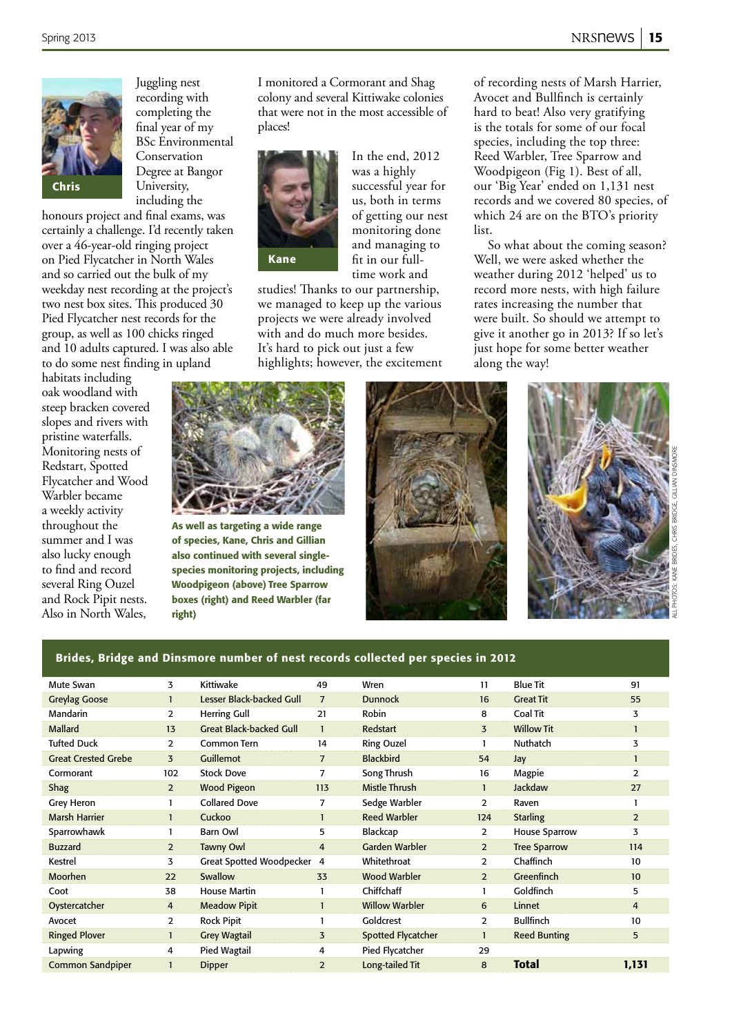of recording nests of Marsh Harrier, Avocet and Bullfinch is certainly hard to beat! Also very gratifying is the totals for some of our focal species, including the top three: Reed Warbler, Tree Sparrow and Woodpigeon (Fig 1). Best of all, our 'Big Year' ended on 1,131 nest records and we covered 80 species, of which 24 are on the BTO's priority

So what about the coming season? Well, we were asked whether the weather during 2012 'helped' us to record more nests, with high failure rates increasing the number that were built. So should we attempt to give it another go in 2013? If so let's just hope for some better weather



Juggling nest recording with completing the final year of my BSc Environmental Conservation Degree at Bangor University, including the

honours project and final exams, was certainly a challenge. I'd recently taken over a 46-year-old ringing project on Pied Flycatcher in North Wales and so carried out the bulk of my weekday nest recording at the project's two nest box sites. This produced 30 Pied Flycatcher nest records for the group, as well as 100 chicks ringed and 10 adults captured. I was also able to do some nest finding in upland

habitats including oak woodland with steep bracken covered slopes and rivers with pristine waterfalls. Monitoring nests of Redstart, Spotted Flycatcher and Wood Warbler became a weekly activity throughout the summer and I was also lucky enough to find and record several Ring Ouzel and Rock Pipit nests. Also in North Wales,

I monitored a Cormorant and Shag colony and several Kittiwake colonies that were not in the most accessible of places!



In the end, 2012 was a highly successful year for us, both in terms of getting our nest monitoring done and managing to fit in our fulltime work and

list.

along the way!

studies! Thanks to our partnership, we managed to keep up the various projects we were already involved with and do much more besides. It's hard to pick out just a few highlights; however, the excitement

As well as targeting a wide range of species, Kane, Chris and Gillian also continued with several singlespecies monitoring projects, including Woodpigeon (above) Tree Sparrow boxes (right) and Reed Warbler (far right)





## Brides, Bridge and Dinsmore number of nest records collected per species in 2012

| Mute Swan                  | 3              | Kittiwake                       | 49             | Wren                      | 11             | <b>Blue Tit</b>      | 91             |
|----------------------------|----------------|---------------------------------|----------------|---------------------------|----------------|----------------------|----------------|
| <b>Greylag Goose</b>       |                | Lesser Black-backed Gull        | $\overline{7}$ | <b>Dunnock</b>            | 16             | <b>Great Tit</b>     | 55             |
| Mandarin                   | $\overline{2}$ | <b>Herring Gull</b>             | 21             | Robin                     | 8              | <b>Coal Tit</b>      | 3              |
| <b>Mallard</b>             | 13             | <b>Great Black-backed Gull</b>  |                | <b>Redstart</b>           | 3              | <b>Willow Tit</b>    |                |
| <b>Tufted Duck</b>         | $\overline{2}$ | Common Tern                     | 14             | <b>Ring Ouzel</b>         |                | Nuthatch             | 3              |
| <b>Great Crested Grebe</b> | 3              | <b>Guillemot</b>                | $\overline{7}$ | <b>Blackbird</b>          | 54             | Jay                  |                |
| Cormorant                  | 102            | <b>Stock Dove</b>               | 7              | Song Thrush               | 16             | Magpie               | 2              |
| Shag                       | $\overline{2}$ | <b>Wood Pigeon</b>              | 113            | <b>Mistle Thrush</b>      |                | <b>Jackdaw</b>       | 27             |
| Grey Heron                 |                | <b>Collared Dove</b>            |                | Sedge Warbler             | $\mathcal{P}$  | Raven                |                |
| <b>Marsh Harrier</b>       |                | Cuckoo                          |                | <b>Reed Warbler</b>       | 124            | <b>Starling</b>      | $\overline{2}$ |
| Sparrowhawk                |                | <b>Barn Owl</b>                 | 5              | Blackcap                  | $\overline{2}$ | <b>House Sparrow</b> | 3              |
| <b>Buzzard</b>             | $\overline{2}$ | Tawny Owl                       | 4              | <b>Garden Warbler</b>     | $\overline{2}$ | <b>Tree Sparrow</b>  | 114            |
| Kestrel                    | 3              | <b>Great Spotted Woodpecker</b> | $\overline{a}$ | Whitethroat               | $\overline{2}$ | Chaffinch            | 10             |
| Moorhen                    | 22             | Swallow                         | 33             | <b>Wood Warbler</b>       | $\overline{2}$ | Greenfinch           | 10             |
| Coot                       | 38             | <b>House Martin</b>             |                | Chiffchaff                |                | Goldfinch            | 5              |
| Oystercatcher              | $\overline{4}$ | <b>Meadow Pipit</b>             |                | <b>Willow Warbler</b>     | 6              | Linnet               | 4              |
| Avocet                     | 2              | <b>Rock Pipit</b>               |                | Goldcrest                 | $\mathcal{P}$  | <b>Bullfinch</b>     | 10             |
| <b>Ringed Plover</b>       |                | <b>Grey Wagtail</b>             | 3              | <b>Spotted Flycatcher</b> |                | <b>Reed Bunting</b>  | 5              |
| Lapwing                    | 4              | Pied Wagtail                    | 4              | Pied Flycatcher           | 29             |                      |                |
| <b>Common Sandpiper</b>    |                | <b>Dipper</b>                   | 2              | Long-tailed Tit           | 8              | <b>Total</b>         | 1,131          |